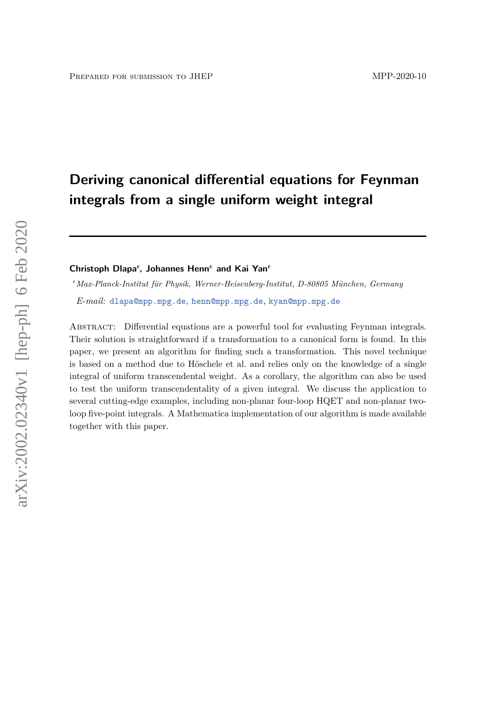# **Deriving canonical differential equations for Feynman integrals from a single uniform weight integral**

 $Christoph Dlapa<sup>ε</sup>$ , Johannes Henn<sup>ε</sup> and Kai Yan<sup>ε</sup>

*Max-Planck-Institut für Physik, Werner-Heisenberg-Institut, D-80805 München, Germany*

*E-mail:* [dlapa@mpp.mpg.de](mailto:dlapa@mpp.mpg.de), [henn@mpp.mpg.de](mailto:henn@mpp.mpg.de), [kyan@mpp.mpg.de](mailto:kyan@mpp.mpg.de)

ABSTRACT: Differential equations are a powerful tool for evaluating Feynman integrals. Their solution is straightforward if a transformation to a canonical form is found. In this paper, we present an algorithm for finding such a transformation. This novel technique is based on a method due to Höschele et al. and relies only on the knowledge of a single integral of uniform transcendental weight. As a corollary, the algorithm can also be used to test the uniform transcendentality of a given integral. We discuss the application to several cutting-edge examples, including non-planar four-loop HQET and non-planar twoloop five-point integrals. A Mathematica implementation of our algorithm is made available together with this paper.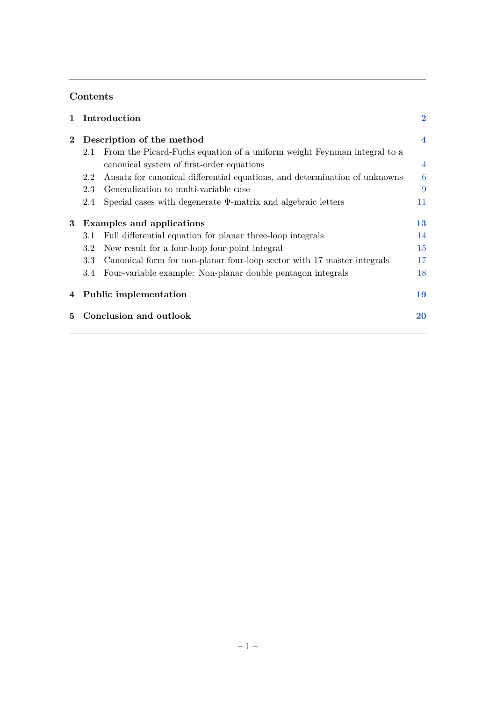# **Contents**

| $\mathbf{1}$ |                                  | Introduction                                                               | $\bf{2}$       |  |
|--------------|----------------------------------|----------------------------------------------------------------------------|----------------|--|
| $\mathbf{2}$ | Description of the method        |                                                                            |                |  |
|              | 2.1                              | From the Picard-Fuchs equation of a uniform weight Feynman integral to a   |                |  |
|              |                                  | canonical system of first-order equations                                  | $\overline{4}$ |  |
|              | 2.2                              | Ansatz for canonical differential equations, and determination of unknowns | 6              |  |
|              | 2.3                              | Generalization to multi-variable case                                      | 9              |  |
|              | 2.4                              | Special cases with degenerate $\Psi$ -matrix and algebraic letters         | 11             |  |
| 3            | <b>Examples and applications</b> |                                                                            |                |  |
|              | 3.1                              | Full differential equation for planar three-loop integrals                 | 14             |  |
|              | 3.2                              | New result for a four-loop four-point integral                             | 15             |  |
|              | 3.3                              | Canonical form for non-planar four-loop sector with 17 master integrals    | 17             |  |
|              | 3.4                              | Four-variable example: Non-planar double pentagon integrals                | 18             |  |
| 4            |                                  | Public implementation                                                      | 19             |  |
| 5.           |                                  | Conclusion and outlook                                                     | 20             |  |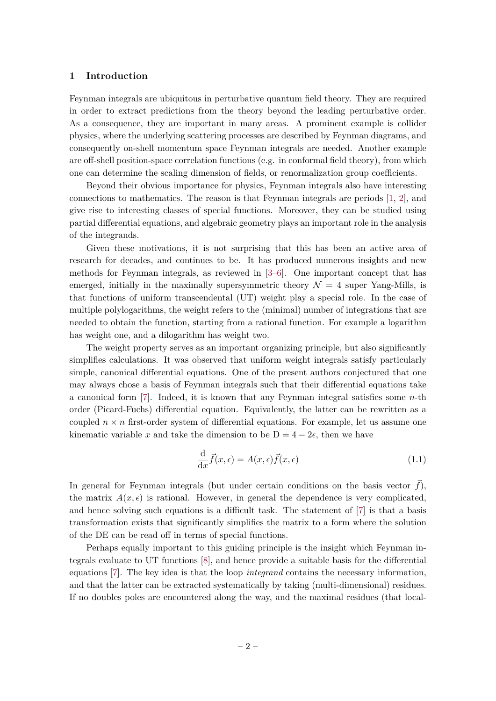# <span id="page-2-0"></span>**1 Introduction**

Feynman integrals are ubiquitous in perturbative quantum field theory. They are required in order to extract predictions from the theory beyond the leading perturbative order. As a consequence, they are important in many areas. A prominent example is collider physics, where the underlying scattering processes are described by Feynman diagrams, and consequently on-shell momentum space Feynman integrals are needed. Another example are off-shell position-space correlation functions (e.g. in conformal field theory), from which one can determine the scaling dimension of fields, or renormalization group coefficients.

Beyond their obvious importance for physics, Feynman integrals also have interesting connections to mathematics. The reason is that Feynman integrals are periods [\[1,](#page-22-0) [2\]](#page-22-1), and give rise to interesting classes of special functions. Moreover, they can be studied using partial differential equations, and algebraic geometry plays an important role in the analysis of the integrands.

Given these motivations, it is not surprising that this has been an active area of research for decades, and continues to be. It has produced numerous insights and new methods for Feynman integrals, as reviewed in [\[3–](#page-22-2)[6\]](#page-22-3). One important concept that has emerged, initially in the maximally supersymmetric theory  $\mathcal{N} = 4$  super Yang-Mills, is that functions of uniform transcendental (UT) weight play a special role. In the case of multiple polylogarithms, the weight refers to the (minimal) number of integrations that are needed to obtain the function, starting from a rational function. For example a logarithm has weight one, and a dilogarithm has weight two.

The weight property serves as an important organizing principle, but also significantly simplifies calculations. It was observed that uniform weight integrals satisfy particularly simple, canonical differential equations. One of the present authors conjectured that one may always chose a basis of Feynman integrals such that their differential equations take a canonical form [\[7\]](#page-22-4). Indeed, it is known that any Feynman integral satisfies some *n*-th order (Picard-Fuchs) differential equation. Equivalently, the latter can be rewritten as a coupled  $n \times n$  first-order system of differential equations. For example, let us assume one kinematic variable x and take the dimension to be  $D = 4 - 2\epsilon$ , then we have

<span id="page-2-1"></span>
$$
\frac{\mathrm{d}}{\mathrm{d}x}\vec{f}(x,\epsilon) = A(x,\epsilon)\vec{f}(x,\epsilon)
$$
\n(1.1)

In general for Feynman integrals (but under certain conditions on the basis vector  $f$ ), the matrix  $A(x, \epsilon)$  is rational. However, in general the dependence is very complicated, and hence solving such equations is a difficult task. The statement of [\[7\]](#page-22-4) is that a basis transformation exists that significantly simplifies the matrix to a form where the solution of the DE can be read off in terms of special functions.

Perhaps equally important to this guiding principle is the insight which Feynman integrals evaluate to UT functions [\[8\]](#page-22-5), and hence provide a suitable basis for the differential equations [\[7\]](#page-22-4). The key idea is that the loop *integrand* contains the necessary information, and that the latter can be extracted systematically by taking (multi-dimensional) residues. If no doubles poles are encountered along the way, and the maximal residues (that local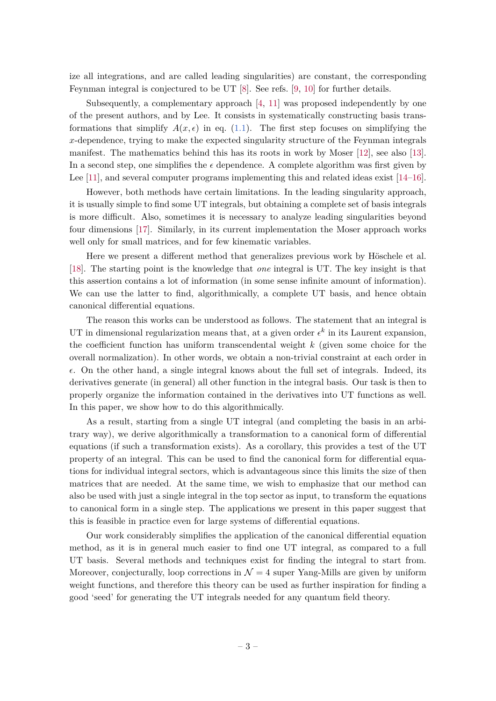ize all integrations, and are called leading singularities) are constant, the corresponding Feynman integral is conjectured to be UT [\[8\]](#page-22-5). See refs. [\[9,](#page-22-6) [10\]](#page-22-7) for further details.

Subsequently, a complementary approach [\[4,](#page-22-8) [11\]](#page-22-9) was proposed independently by one of the present authors, and by Lee. It consists in systematically constructing basis transformations that simplify  $A(x, \epsilon)$  in eq. [\(1.1\)](#page-2-1). The first step focuses on simplifying the *x*-dependence, trying to make the expected singularity structure of the Feynman integrals manifest. The mathematics behind this has its roots in work by Moser [\[12\]](#page-23-0), see also [\[13\]](#page-23-1). In a second step, one simplifies the  $\epsilon$  dependence. A complete algorithm was first given by Lee [\[11\]](#page-22-9), and several computer programs implementing this and related ideas exist [\[14–](#page-23-2)[16\]](#page-23-3).

However, both methods have certain limitations. In the leading singularity approach, it is usually simple to find some UT integrals, but obtaining a complete set of basis integrals is more difficult. Also, sometimes it is necessary to analyze leading singularities beyond four dimensions [\[17\]](#page-23-4). Similarly, in its current implementation the Moser approach works well only for small matrices, and for few kinematic variables.

Here we present a different method that generalizes previous work by Höschele et al. [\[18\]](#page-23-5). The starting point is the knowledge that *one* integral is UT. The key insight is that this assertion contains a lot of information (in some sense infinite amount of information). We can use the latter to find, algorithmically, a complete UT basis, and hence obtain canonical differential equations.

The reason this works can be understood as follows. The statement that an integral is UT in dimensional regularization means that, at a given order  $\epsilon^k$  in its Laurent expansion, the coefficient function has uniform transcendental weight *k* (given some choice for the overall normalization). In other words, we obtain a non-trivial constraint at each order in  $\epsilon$ . On the other hand, a single integral knows about the full set of integrals. Indeed, its derivatives generate (in general) all other function in the integral basis. Our task is then to properly organize the information contained in the derivatives into UT functions as well. In this paper, we show how to do this algorithmically.

As a result, starting from a single UT integral (and completing the basis in an arbitrary way), we derive algorithmically a transformation to a canonical form of differential equations (if such a transformation exists). As a corollary, this provides a test of the UT property of an integral. This can be used to find the canonical form for differential equations for individual integral sectors, which is advantageous since this limits the size of then matrices that are needed. At the same time, we wish to emphasize that our method can also be used with just a single integral in the top sector as input, to transform the equations to canonical form in a single step. The applications we present in this paper suggest that this is feasible in practice even for large systems of differential equations.

Our work considerably simplifies the application of the canonical differential equation method, as it is in general much easier to find one UT integral, as compared to a full UT basis. Several methods and techniques exist for finding the integral to start from. Moreover, conjecturally, loop corrections in  $\mathcal{N}=4$  super Yang-Mills are given by uniform weight functions, and therefore this theory can be used as further inspiration for finding a good 'seed' for generating the UT integrals needed for any quantum field theory.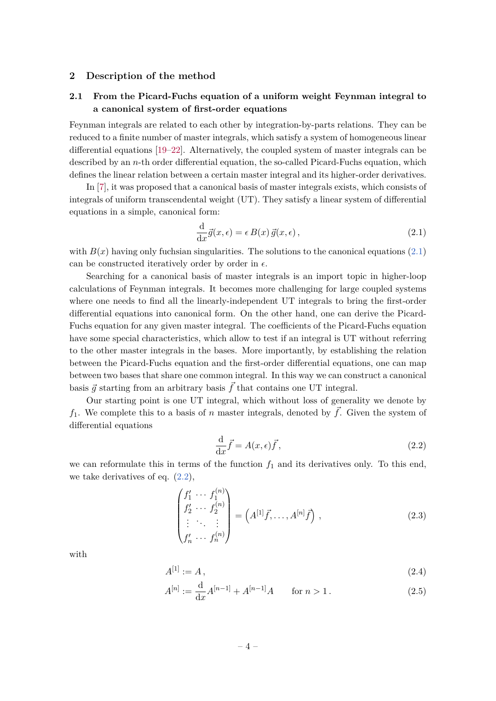#### <span id="page-4-0"></span>**2 Description of the method**

# <span id="page-4-1"></span>**2.1 From the Picard-Fuchs equation of a uniform weight Feynman integral to a canonical system of first-order equations**

Feynman integrals are related to each other by integration-by-parts relations. They can be reduced to a finite number of master integrals, which satisfy a system of homogeneous linear differential equations [\[19–](#page-23-6)[22\]](#page-23-7). Alternatively, the coupled system of master integrals can be described by an *n*-th order differential equation, the so-called Picard-Fuchs equation, which defines the linear relation between a certain master integral and its higher-order derivatives.

In [\[7\]](#page-22-4), it was proposed that a canonical basis of master integrals exists, which consists of integrals of uniform transcendental weight (UT). They satisfy a linear system of differential equations in a simple, canonical form:

<span id="page-4-2"></span>
$$
\frac{\mathrm{d}}{\mathrm{d}x}\vec{g}(x,\epsilon) = \epsilon B(x)\,\vec{g}(x,\epsilon)\,,\tag{2.1}
$$

with  $B(x)$  having only fuchsian singularities. The solutions to the canonical equations [\(2.1\)](#page-4-2) can be constructed iteratively order by order in  $\epsilon$ .

Searching for a canonical basis of master integrals is an import topic in higher-loop calculations of Feynman integrals. It becomes more challenging for large coupled systems where one needs to find all the linearly-independent UT integrals to bring the first-order differential equations into canonical form. On the other hand, one can derive the Picard-Fuchs equation for any given master integral. The coefficients of the Picard-Fuchs equation have some special characteristics, which allow to test if an integral is UT without referring to the other master integrals in the bases. More importantly, by establishing the relation between the Picard-Fuchs equation and the first-order differential equations, one can map between two bases that share one common integral. In this way we can construct a canonical basis  $\vec{q}$  starting from an arbitrary basis  $\vec{f}$  that contains one UT integral.

Our starting point is one UT integral, which without loss of generality we denote by  $f_1$ . We complete this to a basis of *n* master integrals, denoted by  $\vec{f}$ . Given the system of differential equations

<span id="page-4-3"></span>
$$
\frac{\mathrm{d}}{\mathrm{d}x}\vec{f} = A(x,\epsilon)\vec{f},\tag{2.2}
$$

we can reformulate this in terms of the function  $f_1$  and its derivatives only. To this end, we take derivatives of eq.  $(2.2)$ ,

<span id="page-4-4"></span>
$$
\begin{pmatrix} f'_1 & \cdots & f_1^{(n)} \\ f'_2 & \cdots & f_2^{(n)} \\ \vdots & \ddots & \vdots \\ f'_n & \cdots & f_n^{(n)} \end{pmatrix} = \left( A^{[1]} \vec{f}, \dots, A^{[n]} \vec{f} \right), \qquad (2.3)
$$

with

$$
A^{[1]} := A \,, \tag{2.4}
$$

$$
A^{[n]} := \frac{\mathrm{d}}{\mathrm{d}x} A^{[n-1]} + A^{[n-1]}A \qquad \text{for } n > 1.
$$
 (2.5)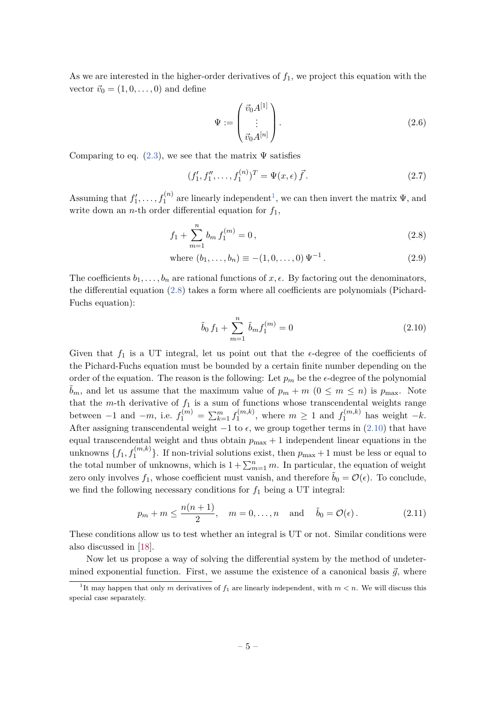As we are interested in the higher-order derivatives of  $f_1$ , we project this equation with the vector  $\vec{v}_0 = (1, 0, \ldots, 0)$  and define

<span id="page-5-4"></span><span id="page-5-3"></span>
$$
\Psi := \begin{pmatrix} \vec{v}_0 A^{[1]} \\ \vdots \\ \vec{v}_0 A^{[n]} \end{pmatrix} .
$$
\n(2.6)

Comparing to eq.  $(2.3)$ , we see that the matrix  $\Psi$  satisfies

$$
(f'_1, f''_1, \dots, f_1^{(n)})^T = \Psi(x, \epsilon) \vec{f}.
$$
 (2.7)

Assuming that  $f'_1, \ldots, f_1^{(n)}$  $f'_1, \ldots, f_1^{(n)}$  $f'_1, \ldots, f_1^{(n)}$  are linearly independent<sup>1</sup>, we can then invert the matrix  $\Psi$ , and write down an *n*-th order differential equation for *f*1,

$$
f_1 + \sum_{m=1}^{n} b_m f_1^{(m)} = 0, \qquad (2.8)
$$

where 
$$
(b_1, ..., b_n) \equiv -(1, 0, ..., 0) \Psi^{-1}
$$
. (2.9)

The coefficients  $b_1, \ldots, b_n$  are rational functions of  $x, \epsilon$ . By factoring out the denominators, the differential equation [\(2.8\)](#page-5-1) takes a form where all coefficients are polynomials (Pichard-Fuchs equation):

<span id="page-5-2"></span><span id="page-5-1"></span>
$$
\tilde{b}_0 f_1 + \sum_{m=1}^n \tilde{b}_m f_1^{(m)} = 0 \tag{2.10}
$$

Given that  $f_1$  is a UT integral, let us point out that the  $\epsilon$ -degree of the coefficients of the Pichard-Fuchs equation must be bounded by a certain finite number depending on the order of the equation. The reason is the following: Let  $p_m$  be the  $\epsilon$ -degree of the polynomial  $\tilde{b}_m$ , and let us assume that the maximum value of  $p_m + m$  ( $0 \leq m \leq n$ ) is  $p_{\text{max}}$ . Note that the *m*-th derivative of  $f_1$  is a sum of functions whose transcendental weights range between  $-1$  and  $-m$ , i.e.  $f_1^{(m)} = \sum_{k=1}^m f_1^{(m,k)}$  $t_1^{(m,k)}$ , where  $m \geq 1$  and  $f_1^{(m,k)}$  has weight  $-k$ . After assigning transcendental weight  $-1$  to  $\epsilon$ , we group together terms in [\(2.10\)](#page-5-2) that have equal transcendental weight and thus obtain  $p_{\text{max}} + 1$  independent linear equations in the unknowns  $\{f_1, f_1^{(m,k)}\}$ . If non-trivial solutions exist, then  $p_{\text{max}} + 1$  must be less or equal to the total number of unknowns, which is  $1 + \sum_{m=1}^{n} m$ . In particular, the equation of weight zero only involves  $f_1$ , whose coefficient must vanish, and therefore  $b_0 = \mathcal{O}(\epsilon)$ . To conclude, we find the following necessary conditions for  $f_1$  being a UT integral:

<span id="page-5-5"></span>
$$
p_m + m \le \frac{n(n+1)}{2}, \quad m = 0, \dots, n \quad \text{and} \quad \tilde{b}_0 = \mathcal{O}(\epsilon).
$$
 (2.11)

These conditions allow us to test whether an integral is UT or not. Similar conditions were also discussed in [\[18\]](#page-23-5).

Now let us propose a way of solving the differential system by the method of undetermined exponential function. First, we assume the existence of a canonical basis  $\vec{q}$ , where

<span id="page-5-0"></span><sup>&</sup>lt;sup>1</sup>It may happen that only *m* derivatives of  $f_1$  are linearly independent, with  $m < n$ . We will discuss this special case separately.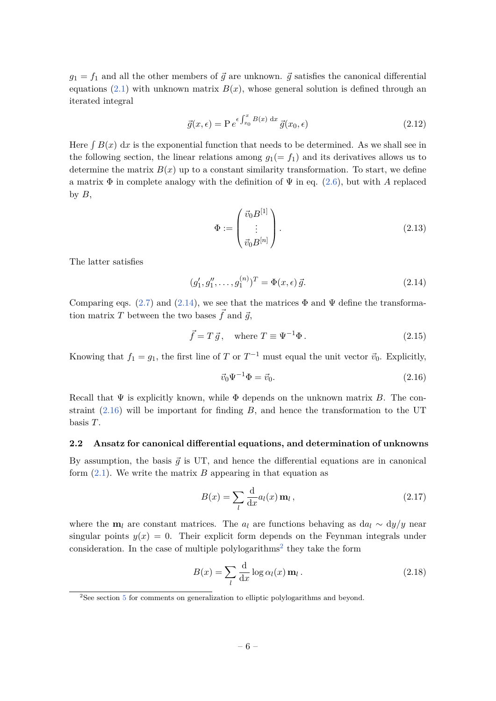$g_1 = f_1$  and all the other members of  $\vec{g}$  are unknown.  $\vec{g}$  satisfies the canonical differential equations [\(2.1\)](#page-4-2) with unknown matrix  $B(x)$ , whose general solution is defined through an iterated integral

$$
\vec{g}(x,\epsilon) = P e^{\epsilon \int_{x_0}^x B(x) dx} \vec{g}(x_0,\epsilon)
$$
\n(2.12)

Here  $\int B(x) dx$  is the exponential function that needs to be determined. As we shall see in the following section, the linear relations among  $g_1(= f_1)$  and its derivatives allows us to determine the matrix  $B(x)$  up to a constant similarity transformation. To start, we define a matrix  $\Phi$  in complete analogy with the definition of  $\Psi$  in eq. [\(2.6\)](#page-5-3), but with *A* replaced by  $B$ ,

<span id="page-6-7"></span><span id="page-6-6"></span><span id="page-6-1"></span>
$$
\Phi := \begin{pmatrix} \vec{v}_0 B^{[1]} \\ \vdots \\ \vec{v}_0 B^{[n]} \end{pmatrix} . \tag{2.13}
$$

The latter satisfies

$$
(g'_1, g''_1, \dots, g_1^{(n)})^T = \Phi(x, \epsilon) \, \vec{g}.\tag{2.14}
$$

Comparing eqs. [\(2.7\)](#page-5-4) and [\(2.14\)](#page-6-1), we see that the matrices  $\Phi$  and  $\Psi$  define the transformation matrix *T* between the two bases  $\vec{f}$  and  $\vec{g}$ ,

$$
\vec{f} = T\,\vec{g}\,, \quad \text{where } T \equiv \Psi^{-1}\Phi\,. \tag{2.15}
$$

Knowing that  $f_1 = g_1$ , the first line of *T* or  $T^{-1}$  must equal the unit vector  $\vec{v}_0$ . Explicitly,

<span id="page-6-8"></span><span id="page-6-2"></span>
$$
\vec{v}_0 \Psi^{-1} \Phi = \vec{v}_0. \tag{2.16}
$$

Recall that Ψ is explicitly known, while Φ depends on the unknown matrix *B*. The constraint [\(2.16\)](#page-6-2) will be important for finding *B*, and hence the transformation to the UT basis *T*.

#### <span id="page-6-0"></span>**2.2 Ansatz for canonical differential equations, and determination of unknowns**

By assumption, the basis  $\vec{g}$  is UT, and hence the differential equations are in canonical form [\(2.1\)](#page-4-2). We write the matrix *B* appearing in that equation as

<span id="page-6-4"></span>
$$
B(x) = \sum_{l} \frac{\mathrm{d}}{\mathrm{d}x} a_l(x) \mathbf{m}_l , \qquad (2.17)
$$

where the  $m_l$  are constant matrices. The  $a_l$  are functions behaving as d $a_l \sim dy/y$  near singular points  $y(x) = 0$ . Their explicit form depends on the Feynman integrals under consideration. In the case of multiple polylogarithms<sup>[2](#page-6-3)</sup> they take the form

<span id="page-6-5"></span>
$$
B(x) = \sum_{l} \frac{d}{dx} \log \alpha_l(x) \mathbf{m}_l.
$$
 (2.18)

<span id="page-6-3"></span><sup>&</sup>lt;sup>2</sup>See section [5](#page-20-0) for comments on generalization to elliptic polylogarithms and beyond.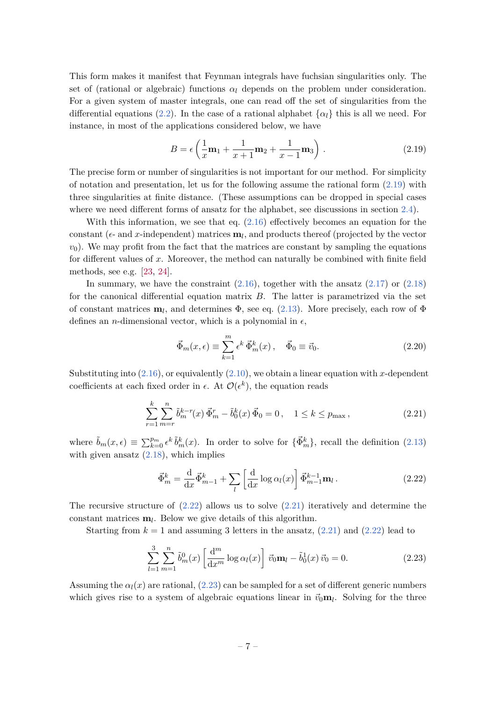This form makes it manifest that Feynman integrals have fuchsian singularities only. The set of (rational or algebraic) functions  $\alpha_l$  depends on the problem under consideration. For a given system of master integrals, one can read off the set of singularities from the differential equations [\(2.2\)](#page-4-3). In the case of a rational alphabet  $\{\alpha_l\}$  this is all we need. For instance, in most of the applications considered below, we have

<span id="page-7-0"></span>
$$
B = \epsilon \left( \frac{1}{x} \mathbf{m}_1 + \frac{1}{x+1} \mathbf{m}_2 + \frac{1}{x-1} \mathbf{m}_3 \right) . \tag{2.19}
$$

The precise form or number of singularities is not important for our method. For simplicity of notation and presentation, let us for the following assume the rational form [\(2.19\)](#page-7-0) with three singularities at finite distance. (These assumptions can be dropped in special cases where we need different forms of ansatz for the alphabet, see discussions in section [2.4\)](#page-11-0).

With this information, we see that eq.  $(2.16)$  effectively becomes an equation for the constant ( $\epsilon$ - and *x*-independent) matrices  $\mathbf{m}_l$ , and products thereof (projected by the vector  $v_0$ ). We may profit from the fact that the matrices are constant by sampling the equations for different values of *x*. Moreover, the method can naturally be combined with finite field methods, see e.g. [\[23,](#page-23-8) [24\]](#page-23-9).

In summary, we have the constraint  $(2.16)$ , together with the ansatz  $(2.17)$  or  $(2.18)$ for the canonical differential equation matrix *B*. The latter is parametrized via the set of constant matrices  $\mathbf{m}_l$ , and determines  $\Phi$ , see eq. [\(2.13\)](#page-6-6). More precisely, each row of  $\Phi$ defines an *n*-dimensional vector, which is a polynomial in  $\epsilon$ ,

<span id="page-7-2"></span>
$$
\vec{\Phi}_m(x,\epsilon) \equiv \sum_{k=1}^m \epsilon^k \vec{\Phi}_m^k(x), \quad \vec{\Phi}_0 \equiv \vec{v}_0.
$$
 (2.20)

Substituting into  $(2.16)$ , or equivalently  $(2.10)$ , we obtain a linear equation with *x*-dependent coefficients at each fixed order in  $\epsilon$ . At  $\mathcal{O}(\epsilon^k)$ , the equation reads

$$
\sum_{r=1}^{k} \sum_{m=r}^{n} \tilde{b}_{m}^{k-r}(x) \vec{\Phi}_{m}^{r} - \tilde{b}_{0}^{k}(x) \vec{\Phi}_{0} = 0, \quad 1 \le k \le p_{\max},
$$
\n(2.21)

where  $\tilde{b}_m(x, \epsilon) \equiv \sum_{k=0}^{p_m} \epsilon^k \tilde{b}_m^k(x)$ . In order to solve for  $\{\vec{\Phi}_m^k\}$ , recall the definition [\(2.13\)](#page-6-6) with given ansatz  $(2.18)$ , which implies

<span id="page-7-3"></span><span id="page-7-1"></span>
$$
\vec{\Phi}_m^k = \frac{\mathrm{d}}{\mathrm{d}x} \vec{\Phi}_{m-1}^k + \sum_l \left[ \frac{\mathrm{d}}{\mathrm{d}x} \log \alpha_l(x) \right] \vec{\Phi}_{m-1}^{k-1} \mathbf{m}_l \,. \tag{2.22}
$$

The recursive structure of  $(2.22)$  allows us to solve  $(2.21)$  iteratively and determine the constant matrices **m***<sup>l</sup>* . Below we give details of this algorithm.

Starting from  $k = 1$  and assuming 3 letters in the ansatz,  $(2.21)$  and  $(2.22)$  lead to

$$
\sum_{l=1}^{3} \sum_{m=1}^{n} \tilde{b}_{m}^{0}(x) \left[ \frac{\mathrm{d}^{m}}{\mathrm{d}x^{m}} \log \alpha_{l}(x) \right] \vec{v}_{0} \mathbf{m}_{l} - \tilde{b}_{0}^{1}(x) \vec{v}_{0} = 0. \qquad (2.23)
$$

Assuming the  $\alpha_l(x)$  are rational, [\(2.23\)](#page-7-3) can be sampled for a set of different generic numbers which gives rise to a system of algebraic equations linear in  $\vec{v}_0 \mathbf{m}_l$ . Solving for the three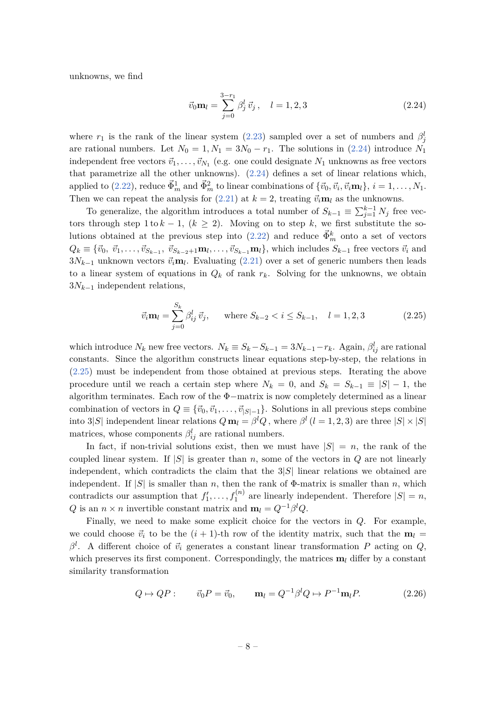unknowns, we find

<span id="page-8-0"></span>
$$
\vec{v}_0 \mathbf{m}_l = \sum_{j=0}^{3-r_1} \beta_j^l \, \vec{v}_j \,, \quad l = 1, 2, 3 \tag{2.24}
$$

where  $r_1$  is the rank of the linear system [\(2.23\)](#page-7-3) sampled over a set of numbers and  $\beta_j^l$ are rational numbers. Let  $N_0 = 1, N_1 = 3N_0 - r_1$ . The solutions in [\(2.24\)](#page-8-0) introduce  $N_1$ independent free vectors  $\vec{v}_1, \ldots, \vec{v}_{N_1}$  (e.g. one could designate  $N_1$  unknowns as free vectors that parametrize all the other unknowns). [\(2.24\)](#page-8-0) defines a set of linear relations which, applied to [\(2.22\)](#page-7-1), reduce  $\vec{\Phi}_m^1$  and  $\vec{\Phi}_m^2$  to linear combinations of  $\{\vec{v}_0, \vec{v}_i, \vec{v}_i \mathbf{m}_l\}, i = 1, \ldots, N_1$ . Then we can repeat the analysis for [\(2.21\)](#page-7-2) at  $k = 2$ , treating  $\vec{v}_i \mathbf{m}_l$  as the unknowns.

To generalize, the algorithm introduces a total number of  $S_{k-1} \equiv \sum_{j=1}^{k-1} N_j$  free vectors through step 1 to  $k - 1$ ,  $(k \ge 2)$ . Moving on to step k, we first substitute the so-lutions obtained at the previous step into [\(2.22\)](#page-7-1) and reduce  $\vec{\Phi}_m^k$  onto a set of vectors  $Q_k \equiv \{\vec{v}_0, \ \vec{v}_1, \dots, \vec{v}_{S_{k-1}}, \ \vec{v}_{S_{k-2}+1} \mathbf{m}_l, \dots, \vec{v}_{S_{k-1}} \mathbf{m}_l\},\$  which includes  $S_{k-1}$  free vectors  $\vec{v}_i$  and  $3N_{k-1}$  unknown vectors  $\vec{v}_i \mathbf{m}_l$ . Evaluating [\(2.21\)](#page-7-2) over a set of generic numbers then leads to a linear system of equations in  $Q_k$  of rank  $r_k$ . Solving for the unknowns, we obtain 3*Nk*−<sup>1</sup> independent relations,

<span id="page-8-1"></span>
$$
\vec{v}_i \mathbf{m}_l = \sum_{j=0}^{S_k} \beta_{ij}^l \, \vec{v}_j, \qquad \text{where } S_{k-2} < i \le S_{k-1}, \quad l = 1, 2, 3 \tag{2.25}
$$

which introduce  $N_k$  new free vectors.  $N_k \equiv S_k - S_{k-1} = 3N_{k-1} - r_k$ . Again,  $\beta_{ij}^l$  are rational constants. Since the algorithm constructs linear equations step-by-step, the relations in [\(2.25\)](#page-8-1) must be independent from those obtained at previous steps. Iterating the above procedure until we reach a certain step where  $N_k = 0$ , and  $S_k = S_{k-1} \equiv |S| - 1$ , the algorithm terminates. Each row of the Φ−matrix is now completely determined as a linear combination of vectors in  $Q \equiv {\vec{v}_0, \vec{v}_1, \dots, \vec{v}_{|S|-1}}$ . Solutions in all previous steps combine into 3|*S*| independent linear relations  $Q \mathbf{m}_l = \beta^l Q$ , where  $\beta^l (l = 1, 2, 3)$  are three  $|S| \times |S|$ matrices, whose components  $\beta_{ij}^l$  are rational numbers.

In fact, if non-trivial solutions exist, then we must have  $|S| = n$ , the rank of the coupled linear system. If  $|S|$  is greater than *n*, some of the vectors in *Q* are not linearly independent, which contradicts the claim that the 3|*S*| linear relations we obtained are independent. If  $|S|$  is smaller than *n*, then the rank of  $\Phi$ -matrix is smaller than *n*, which contradicts our assumption that  $f'_1, \ldots, f_1^{(n)}$  are linearly independent. Therefore  $|S| = n$ ,  $Q$  is an  $n \times n$  invertible constant matrix and  $\mathbf{m}_l = Q^{-1} \beta^l Q$ .

Finally, we need to make some explicit choice for the vectors in *Q*. For example, we could choose  $\vec{v}_i$  to be the  $(i + 1)$ -th row of the identity matrix, such that the  $\mathbf{m}_l =$  $\beta^l$ . A different choice of  $\vec{v}_i$  generates a constant linear transformation *P* acting on *Q*, which preserves its first component. Correspondingly, the matrices  $\mathbf{m}_l$  differ by a constant similarity transformation

<span id="page-8-2"></span>
$$
Q \mapsto QP: \qquad \vec{v}_0 P = \vec{v}_0, \qquad \mathbf{m}_l = Q^{-1} \beta^l Q \mapsto P^{-1} \mathbf{m}_l P. \tag{2.26}
$$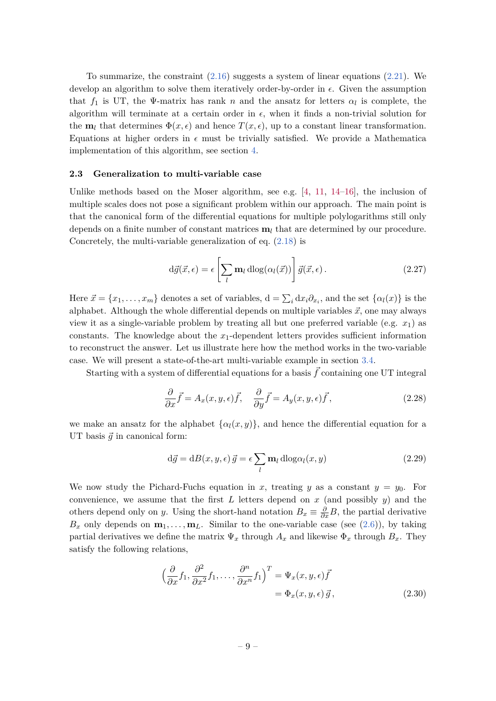To summarize, the constraint  $(2.16)$  suggests a system of linear equations  $(2.21)$ . We develop an algorithm to solve them iteratively order-by-order in  $\epsilon$ . Given the assumption that  $f_1$  is UT, the Ψ-matrix has rank *n* and the ansatz for letters  $\alpha_l$  is complete, the algorithm will terminate at a certain order in  $\epsilon$ , when it finds a non-trivial solution for the **m**<sub>l</sub> that determines  $\Phi(x, \epsilon)$  and hence  $T(x, \epsilon)$ , up to a constant linear transformation. Equations at higher orders in  $\epsilon$  must be trivially satisfied. We provide a Mathematica implementation of this algorithm, see section [4.](#page-19-0)

#### <span id="page-9-0"></span>**2.3 Generalization to multi-variable case**

Unlike methods based on the Moser algorithm, see e.g.  $[4, 11, 14-16]$  $[4, 11, 14-16]$  $[4, 11, 14-16]$  $[4, 11, 14-16]$  $[4, 11, 14-16]$ , the inclusion of multiple scales does not pose a significant problem within our approach. The main point is that the canonical form of the differential equations for multiple polylogarithms still only depends on a finite number of constant matrices **m***<sup>l</sup>* that are determined by our procedure. Concretely, the multi-variable generalization of eq. [\(2.18\)](#page-6-5) is

<span id="page-9-2"></span>
$$
d\vec{g}(\vec{x}, \epsilon) = \epsilon \left[ \sum_{l} \mathbf{m}_{l} \operatorname{dlog}(\alpha_{l}(\vec{x})) \right] \vec{g}(\vec{x}, \epsilon).
$$
 (2.27)

Here  $\vec{x} = \{x_1, \ldots, x_m\}$  denotes a set of variables,  $d = \sum_i dx_i \partial_{x_i}$ , and the set  $\{\alpha_l(x)\}$  is the alphabet. Although the whole differential depends on multiple variables  $\vec{x}$ , one may always view it as a single-variable problem by treating all but one preferred variable (e.g. *x*1) as constants. The knowledge about the *x*1-dependent letters provides sufficient information to reconstruct the answer. Let us illustrate here how the method works in the two-variable case. We will present a state-of-the-art multi-variable example in section [3.4.](#page-18-0)

Starting with a system of differential equations for a basis  $\vec{f}$  containing one UT integral

<span id="page-9-1"></span>
$$
\frac{\partial}{\partial x}\vec{f} = A_x(x, y, \epsilon)\vec{f}, \quad \frac{\partial}{\partial y}\vec{f} = A_y(x, y, \epsilon)\vec{f}, \tag{2.28}
$$

we make an ansatz for the alphabet  $\{\alpha_l(x, y)\}\$ , and hence the differential equation for a UT basis  $\vec{g}$  in canonical form:

$$
d\vec{g} = dB(x, y, \epsilon) \, \vec{g} = \epsilon \sum_{l} m_{l} \, d\log \alpha_{l}(x, y) \tag{2.29}
$$

We now study the Pichard-Fuchs equation in *x*, treating *y* as a constant  $y = y_0$ . For convenience, we assume that the first *L* letters depend on *x* (and possibly *y*) and the others depend only on *y*. Using the short-hand notation  $B_x \equiv \frac{\partial}{\partial x}B$ , the partial derivative  $B_x$  only depends on  $\mathbf{m}_1, \ldots, \mathbf{m}_L$ . Similar to the one-variable case (see [\(2.6\)](#page-5-3)), by taking partial derivatives we define the matrix  $\Psi_x$  through  $A_x$  and likewise  $\Phi_x$  through  $B_x$ . They satisfy the following relations,

$$
\left(\frac{\partial}{\partial x}f_1, \frac{\partial^2}{\partial x^2}f_1, \dots, \frac{\partial^n}{\partial x^n}f_1\right)^T = \Psi_x(x, y, \epsilon)\vec{f}
$$

$$
= \Phi_x(x, y, \epsilon)\vec{g}, \qquad (2.30)
$$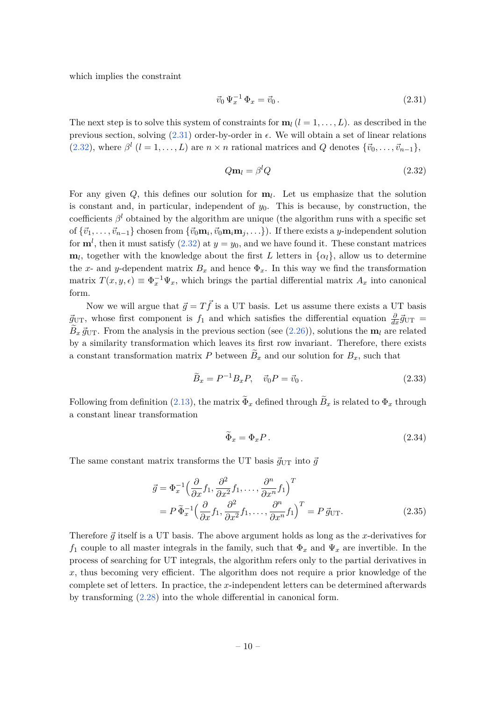which implies the constraint

<span id="page-10-0"></span>
$$
\vec{v}_0 \, \Psi_x^{-1} \, \Phi_x = \vec{v}_0 \,. \tag{2.31}
$$

The next step is to solve this system of constraints for  $\mathbf{m}_l$  ( $l = 1, \ldots, L$ ). as described in the previous section, solving  $(2.31)$  order-by-order in  $\epsilon$ . We will obtain a set of linear relations  $(2.32)$ , where  $\beta^{l}$   $(l = 1, ..., L)$  are  $n \times n$  rational matrices and *Q* denotes  $\{\vec{v}_{0}, \ldots, \vec{v}_{n-1}\},$ 

<span id="page-10-1"></span>
$$
Q\mathbf{m}_l = \beta^l Q \tag{2.32}
$$

For any given *Q*, this defines our solution for **m***<sup>l</sup>* . Let us emphasize that the solution is constant and, in particular, independent of  $y_0$ . This is because, by construction, the coefficients  $\beta^l$  obtained by the algorithm are unique (the algorithm runs with a specific set  $\{v_1, v_2, \ldots, v_{n-1}\}\)$  chosen from  $\{\vec{v}_0\mathbf{m}_i, \vec{v}_0\mathbf{m}_i\mathbf{m}_j, \ldots\}$ ). If there exists a *y*-independent solution for  $\mathbf{m}^l$ , then it must satisfy [\(2.32\)](#page-10-1) at  $y = y_0$ , and we have found it. These constant matrices  $m_l$ , together with the knowledge about the first *L* letters in  $\{\alpha_l\}$ , allow us to determine the *x*- and *y*-dependent matrix  $B_x$  and hence  $\Phi_x$ . In this way we find the transformation matrix  $T(x, y, \epsilon) \equiv \Phi_x^{-1} \Psi_x$ , which brings the partial differential matrix  $A_x$  into canonical form.

Now we will argue that  $\vec{q} = T\vec{f}$  is a UT basis. Let us assume there exists a UT basis  $\vec{g}_{\text{UT}}$ , whose first component is  $f_1$  and which satisfies the differential equation  $\frac{\partial}{\partial x}\vec{g}_{\text{UT}}$  =  $B_x \vec{g}_{\text{UT}}$ . From the analysis in the previous section (see [\(2.26\)](#page-8-2)), solutions the **m***l* are related by a similarity transformation which leaves its first row invariant. Therefore, there exists a constant transformation matrix  $P$  between  $B_x$  and our solution for  $B_x$ , such that

$$
\widetilde{B}_x = P^{-1} B_x P, \quad \vec{v}_0 P = \vec{v}_0. \tag{2.33}
$$

Following from definition [\(2.13\)](#page-6-6), the matrix  $\Phi_x$  defined through  $B_x$  is related to  $\Phi_x$  through a constant linear transformation

$$
\widetilde{\Phi}_x = \Phi_x P. \tag{2.34}
$$

The same constant matrix transforms the UT basis  $\vec{q}_{\text{UT}}$  into  $\vec{q}$ 

$$
\vec{g} = \Phi_x^{-1} \Big( \frac{\partial}{\partial x} f_1, \frac{\partial^2}{\partial x^2} f_1, \dots, \frac{\partial^n}{\partial x^n} f_1 \Big)^T
$$
  
=  $P \tilde{\Phi}_x^{-1} \Big( \frac{\partial}{\partial x} f_1, \frac{\partial^2}{\partial x^2} f_1, \dots, \frac{\partial^n}{\partial x^n} f_1 \Big)^T = P \vec{g}_{\text{UT}}.$  (2.35)

Therefore  $\vec{g}$  itself is a UT basis. The above argument holds as long as the *x*-derivatives for  $f_1$  couple to all master integrals in the family, such that  $\Phi_x$  and  $\Psi_x$  are invertible. In the process of searching for UT integrals, the algorithm refers only to the partial derivatives in x, thus becoming very efficient. The algorithm does not require a prior knowledge of the complete set of letters. In practice, the *x*-independent letters can be determined afterwards by transforming [\(2.28\)](#page-9-1) into the whole differential in canonical form.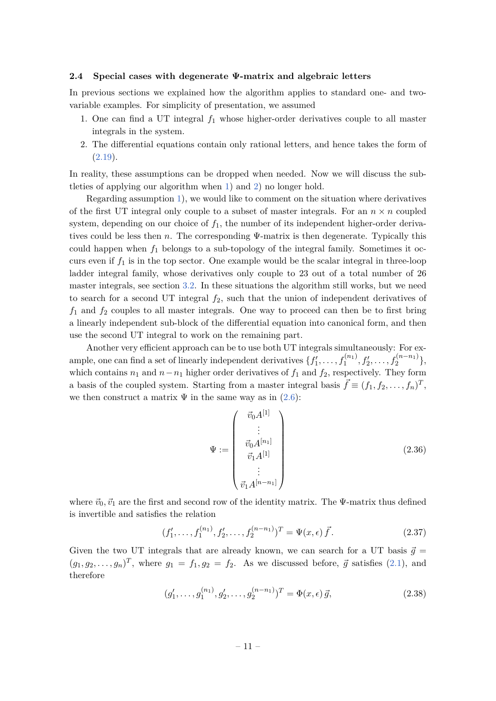#### <span id="page-11-0"></span>**2.4 Special cases with degenerate Ψ-matrix and algebraic letters**

In previous sections we explained how the algorithm applies to standard one- and twovariable examples. For simplicity of presentation, we assumed

- <span id="page-11-1"></span>1. One can find a UT integral *f*<sup>1</sup> whose higher-order derivatives couple to all master integrals in the system.
- <span id="page-11-2"></span>2. The differential equations contain only rational letters, and hence takes the form of  $(2.19).$  $(2.19).$

In reality, these assumptions can be dropped when needed. Now we will discuss the subtleties of applying our algorithm when [1\)](#page-11-1) and [2\)](#page-11-2) no longer hold.

Regarding assumption [1\)](#page-11-1), we would like to comment on the situation where derivatives of the first UT integral only couple to a subset of master integrals. For an  $n \times n$  coupled system, depending on our choice of *f*1, the number of its independent higher-order derivatives could be less then *n*. The corresponding Ψ-matrix is then degenerate. Typically this could happen when  $f_1$  belongs to a sub-topology of the integral family. Sometimes it occurs even if  $f_1$  is in the top sector. One example would be the scalar integral in three-loop ladder integral family, whose derivatives only couple to 23 out of a total number of 26 master integrals, see section [3.2.](#page-15-0) In these situations the algorithm still works, but we need to search for a second UT integral *f*2, such that the union of independent derivatives of  $f_1$  and  $f_2$  couples to all master integrals. One way to proceed can then be to first bring a linearly independent sub-block of the differential equation into canonical form, and then use the second UT integral to work on the remaining part.

Another very efficient approach can be to use both UT integrals simultaneously: For example, one can find a set of linearly independent derivatives  $\{f'_1, \ldots, f_1^{(n_1)}, f'_2, \ldots, f_2^{(n-n_1)}\}$ which contains  $n_1$  and  $n - n_1$  higher order derivatives of  $f_1$  and  $f_2$ , respectively. They form a basis of the coupled system. Starting from a master integral basis  $\vec{f} \equiv (f_1, f_2, \ldots, f_n)^T$ , we then construct a matrix  $\Psi$  in the same way as in [\(2.6\)](#page-5-3):

<span id="page-11-4"></span><span id="page-11-3"></span>
$$
\Psi := \begin{pmatrix} \vec{v}_0 A^{[1]} \\ \vdots \\ \vec{v}_0 A^{[n_1]} \\ \vec{v}_1 A^{[1]} \\ \vdots \\ \vec{v}_1 A^{[n-n_1]} \end{pmatrix}
$$
 (2.36)

where  $\vec{v}_0, \vec{v}_1$  are the first and second row of the identity matrix. The  $\Psi$ -matrix thus defined is invertible and satisfies the relation

$$
(f'_1, \ldots, f_1^{(n_1)}, f'_2, \ldots, f_2^{(n-n_1)})^T = \Psi(x, \epsilon) \vec{f}.
$$
 (2.37)

Given the two UT integrals that are already known, we can search for a UT basis  $\vec{q}$  =  $(g_1, g_2, \ldots, g_n)^T$ , where  $g_1 = f_1, g_2 = f_2$ . As we discussed before,  $\vec{g}$  satisfies [\(2.1\)](#page-4-2), and therefore

<span id="page-11-5"></span>
$$
(g'_1, \ldots, g_1^{(n_1)}, g'_2, \ldots, g_2^{(n-n_1)})^T = \Phi(x, \epsilon) \vec{g}, \qquad (2.38)
$$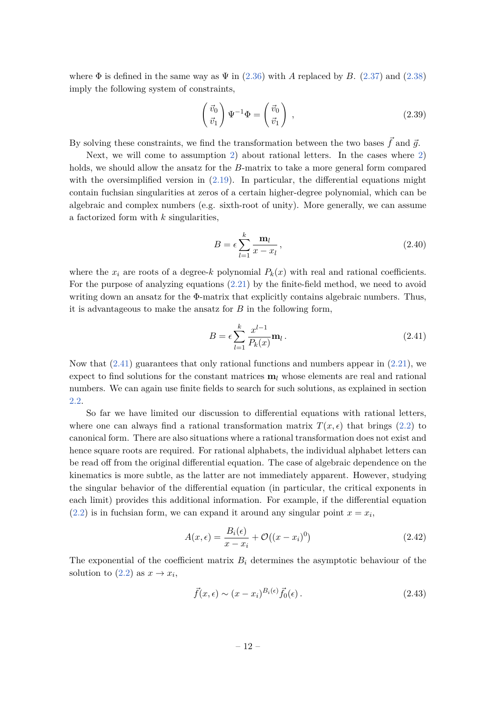where  $\Phi$  is defined in the same way as  $\Psi$  in [\(2.36\)](#page-11-3) with *A* replaced by *B*. [\(2.37\)](#page-11-4) and [\(2.38\)](#page-11-5) imply the following system of constraints,

$$
\begin{pmatrix} \vec{v}_0 \\ \vec{v}_1 \end{pmatrix} \Psi^{-1} \Phi = \begin{pmatrix} \vec{v}_0 \\ \vec{v}_1 \end{pmatrix} , \qquad (2.39)
$$

By solving these constraints, we find the transformation between the two bases  $\vec{f}$  and  $\vec{g}$ .

Next, we will come to assumption [2\)](#page-11-2) about rational letters. In the cases where [2\)](#page-11-2) holds, we should allow the ansatz for the *B*-matrix to take a more general form compared with the oversimplified version in [\(2.19\)](#page-7-0). In particular, the differential equations might contain fuchsian singularities at zeros of a certain higher-degree polynomial, which can be algebraic and complex numbers (e.g. sixth-root of unity). More generally, we can assume a factorized form with *k* singularities,

$$
B = \epsilon \sum_{l=1}^{k} \frac{\mathbf{m}_l}{x - x_l},
$$
\n(2.40)

where the  $x_i$  are roots of a degree-*k* polynomial  $P_k(x)$  with real and rational coefficients. For the purpose of analyzing equations [\(2.21\)](#page-7-2) by the finite-field method, we need to avoid writing down an ansatz for the  $\Phi$ -matrix that explicitly contains algebraic numbers. Thus, it is advantageous to make the ansatz for *B* in the following form,

<span id="page-12-0"></span>
$$
B = \epsilon \sum_{l=1}^{k} \frac{x^{l-1}}{P_k(x)} \mathbf{m}_l.
$$
\n(2.41)

Now that  $(2.41)$  guarantees that only rational functions and numbers appear in  $(2.21)$ , we expect to find solutions for the constant matrices  $\mathbf{m}_l$  whose elements are real and rational numbers. We can again use finite fields to search for such solutions, as explained in section [2.2.](#page-6-0)

So far we have limited our discussion to differential equations with rational letters, where one can always find a rational transformation matrix  $T(x, \epsilon)$  that brings [\(2.2\)](#page-4-3) to canonical form. There are also situations where a rational transformation does not exist and hence square roots are required. For rational alphabets, the individual alphabet letters can be read off from the original differential equation. The case of algebraic dependence on the kinematics is more subtle, as the latter are not immediately apparent. However, studying the singular behavior of the differential equation (in particular, the critical exponents in each limit) provides this additional information. For example, if the differential equation  $(2.2)$  is in fuchsian form, we can expand it around any singular point  $x = x_i$ ,

$$
A(x,\epsilon) = \frac{B_i(\epsilon)}{x - x_i} + \mathcal{O}((x - x_i)^0)
$$
\n(2.42)

The exponential of the coefficient matrix  $B_i$  determines the asymptotic behaviour of the solution to [\(2.2\)](#page-4-3) as  $x \to x_i$ ,

$$
\vec{f}(x,\epsilon) \sim (x-x_i)^{B_i(\epsilon)} \vec{f}_0(\epsilon).
$$
\n(2.43)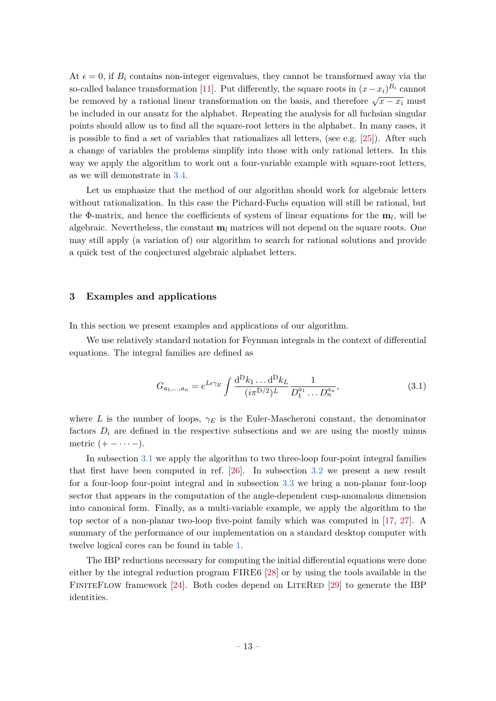At  $\epsilon = 0$ , if  $B_i$  contains non-integer eigenvalues, they cannot be transformed away via the so-called balance transformation [\[11\]](#page-22-9). Put differently, the square roots in  $(x - x_i)^{B_i}$  cannot be removed by a rational linear transformation on the basis, and therefore  $\sqrt{x-x_i}$  must be included in our ansatz for the alphabet. Repeating the analysis for all fuchsian singular points should allow us to find all the square-root letters in the alphabet. In many cases, it is possible to find a set of variables that rationalizes all letters, (see e.g. [\[25\]](#page-23-10)). After such a change of variables the problems simplify into those with only rational letters. In this way we apply the algorithm to work out a four-variable example with square-root letters, as we will demonstrate in [3.4.](#page-18-0)

Let us emphasize that the method of our algorithm should work for algebraic letters without rationalization. In this case the Pichard-Fuchs equation will still be rational, but the Φ-matrix, and hence the coefficients of system of linear equations for the **m***<sup>l</sup>* , will be algebraic. Nevertheless, the constant  $\mathbf{m}_l$  matrices will not depend on the square roots. One may still apply (a variation of) our algorithm to search for rational solutions and provide a quick test of the conjectured algebraic alphabet letters.

## <span id="page-13-0"></span>**3 Examples and applications**

In this section we present examples and applications of our algorithm.

We use relatively standard notation for Feynman integrals in the context of differential equations. The integral families are defined as

<span id="page-13-1"></span>
$$
G_{a_1,\dots,a_n} = e^{L\epsilon \gamma_E} \int \frac{\mathrm{d}^D k_1 \dots \mathrm{d}^D k_L}{(i\pi^{D/2})^L} \frac{1}{D_1^{a_1} \dots D_n^{a_n}},\tag{3.1}
$$

where *L* is the number of loops,  $\gamma_E$  is the Euler-Mascheroni constant, the denominator factors  $D_i$  are defined in the respective subsections and we are using the mostly minus metric  $(+ - \cdots -).$ 

In subsection [3.1](#page-14-0) we apply the algorithm to two three-loop four-point integral families that first have been computed in ref. [\[26\]](#page-23-11). In subsection [3.2](#page-15-0) we present a new result for a four-loop four-point integral and in subsection [3.3](#page-17-0) we bring a non-planar four-loop sector that appears in the computation of the angle-dependent cusp-anomalous dimension into canonical form. Finally, as a multi-variable example, we apply the algorithm to the top sector of a non-planar two-loop five-point family which was computed in [\[17,](#page-23-4) [27\]](#page-23-12). A summary of the performance of our implementation on a standard desktop computer with twelve logical cores can be found in table [1.](#page-20-1)

The IBP reductions necessary for computing the initial differential equations were done either by the integral reduction program FIRE6 [\[28\]](#page-23-13) or by using the tools available in the FINITEFLOW framework  $[24]$ . Both codes depend on LITERED  $[29]$  to generate the IBP identities.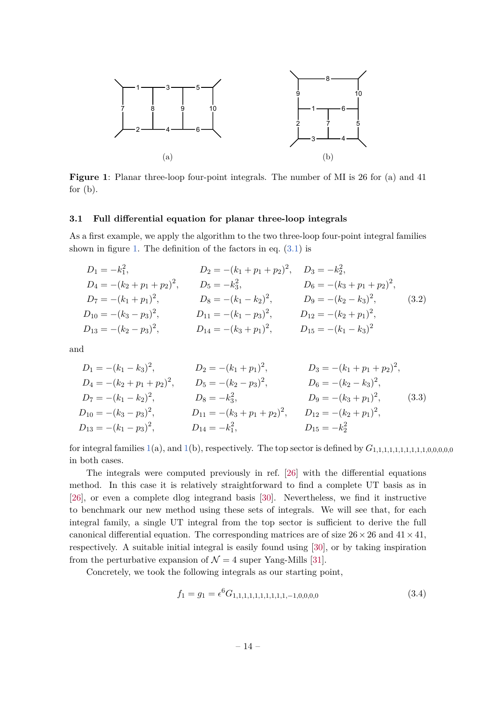<span id="page-14-1"></span>

**Figure 1**: Planar three-loop four-point integrals. The number of MI is 26 for (a) and 41 for  $(b)$ .

#### <span id="page-14-0"></span>**3.1 Full differential equation for planar three-loop integrals**

As a first example, we apply the algorithm to the two three-loop four-point integral families shown in figure [1.](#page-14-1) The definition of the factors in eq.  $(3.1)$  is

$$
D_1 = -k_1^2,
$$
  
\n
$$
D_2 = -(k_1 + p_1 + p_2)^2,
$$
  
\n
$$
D_3 = -k_2^2,
$$
  
\n
$$
D_4 = -(k_2 + p_1 + p_2)^2,
$$
  
\n
$$
D_5 = -k_3^2,
$$
  
\n
$$
D_6 = -(k_3 + p_1 + p_2)^2,
$$
  
\n
$$
D_7 = -(k_1 + p_1)^2,
$$
  
\n
$$
D_8 = -(k_1 - k_2)^2,
$$
  
\n
$$
D_9 = -(k_2 - k_3)^2,
$$
  
\n
$$
D_{10} = -(k_3 - p_3)^2,
$$
  
\n
$$
D_{11} = -(k_1 - p_3)^2,
$$
  
\n
$$
D_{12} = -(k_2 + p_1)^2,
$$
  
\n
$$
D_{13} = -(k_2 - p_3)^2,
$$
  
\n
$$
D_{14} = -(k_3 + p_1)^2,
$$
  
\n
$$
D_{15} = -(k_1 - k_3)^2
$$
  
\n
$$
D_{16} = -(k_1 - k_3)^2
$$

and

$$
D_1 = -(k_1 - k_3)^2, \t D_2 = -(k_1 + p_1)^2, \t D_3 = -(k_1 + p_1 + p_2)^2,
$$
  
\n
$$
D_4 = -(k_2 + p_1 + p_2)^2, \t D_5 = -(k_2 - p_3)^2, \t D_6 = -(k_2 - k_3)^2,
$$
  
\n
$$
D_7 = -(k_1 - k_2)^2, \t D_8 = -k_3^2, \t D_9 = -(k_3 + p_1)^2, \t (3.3)
$$
  
\n
$$
D_{10} = -(k_3 - p_3)^2, \t D_{11} = -(k_3 + p_1 + p_2)^2, \t D_{12} = -(k_2 + p_1)^2,
$$
  
\n
$$
D_{13} = -(k_1 - p_3)^2, \t D_{14} = -k_1^2, \t D_{15} = -k_2^2
$$

for integral families [1\(](#page-14-1)a), and 1(b), respectively. The top sector is defined by  $G_{1,1,1,1,1,1,1,1,1,1,0,0,0,0,0,0}$ in both cases.

The integrals were computed previously in ref. [\[26\]](#page-23-11) with the differential equations method. In this case it is relatively straightforward to find a complete UT basis as in [\[26\]](#page-23-11), or even a complete dlog integrand basis [\[30\]](#page-23-15). Nevertheless, we find it instructive to benchmark our new method using these sets of integrals. We will see that, for each integral family, a single UT integral from the top sector is sufficient to derive the full canonical differential equation. The corresponding matrices are of size  $26 \times 26$  and  $41 \times 41$ , respectively. A suitable initial integral is easily found using [\[30\]](#page-23-15), or by taking inspiration from the perturbative expansion of  $\mathcal{N} = 4$  super Yang-Mills [\[31\]](#page-24-0).

Concretely, we took the following integrals as our starting point,

$$
f_1 = g_1 = \epsilon^6 G_{1,1,1,1,1,1,1,1,1,1,-1,0,0,0,0} \tag{3.4}
$$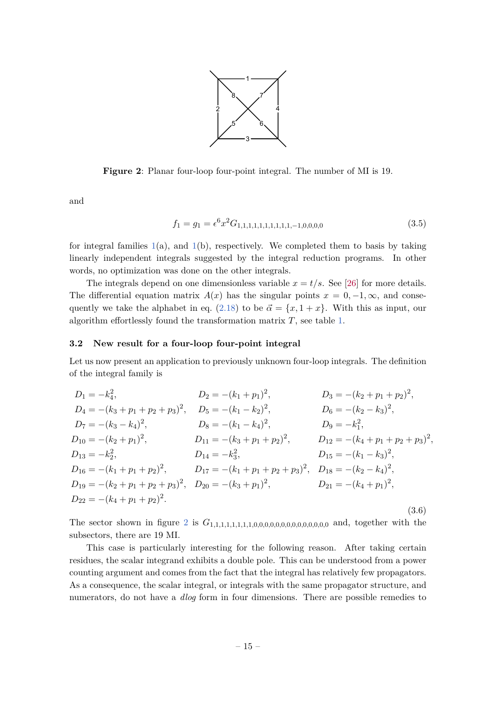

<span id="page-15-1"></span>**Figure 2**: Planar four-loop four-point integral. The number of MI is 19.

and

$$
f_1 = g_1 = \epsilon^6 x^2 G_{1,1,1,1,1,1,1,1,1,1,-1,0,0,0,0} \tag{3.5}
$$

for integral families  $1(a)$  $1(a)$ , and  $1(b)$ , respectively. We completed them to basis by taking linearly independent integrals suggested by the integral reduction programs. In other words, no optimization was done on the other integrals.

The integrals depend on one dimensionless variable  $x = t/s$ . See [\[26\]](#page-23-11) for more details. The differential equation matrix  $A(x)$  has the singular points  $x = 0, -1, \infty$ , and conse-quently we take the alphabet in eq. [\(2.18\)](#page-6-5) to be  $\vec{\alpha} = \{x, 1 + x\}$ . With this as input, our algorithm effortlessly found the transformation matrix *T*, see table [1.](#page-20-1)

#### <span id="page-15-0"></span>**3.2 New result for a four-loop four-point integral**

Let us now present an application to previously unknown four-loop integrals. The definition of the integral family is

$$
D_1 = -k_4^2,
$$
  
\n
$$
D_2 = -(k_1 + p_1)^2,
$$
  
\n
$$
D_3 = -(k_2 + p_1 + p_2)^2,
$$
  
\n
$$
D_4 = -(k_3 + p_1 + p_2 + p_3)^2,
$$
  
\n
$$
D_5 = -(k_1 - k_2)^2,
$$
  
\n
$$
D_6 = -(k_2 - k_3)^2,
$$
  
\n
$$
D_7 = -(k_3 - k_4)^2,
$$
  
\n
$$
D_8 = -(k_1 - k_4)^2,
$$
  
\n
$$
D_9 = -k_1^2,
$$
  
\n
$$
D_{10} = -(k_2 + p_1)^2,
$$
  
\n
$$
D_{11} = -(k_3 + p_1 + p_2)^2,
$$
  
\n
$$
D_{12} = -(k_4 + p_1 + p_2 + p_3)^2,
$$
  
\n
$$
D_{13} = -k_2^2,
$$
  
\n
$$
D_{14} = -k_3^2,
$$
  
\n
$$
D_{15} = -(k_1 - k_3)^2,
$$
  
\n
$$
D_{16} = -(k_1 + p_1 + p_2)^2,
$$
  
\n
$$
D_{17} = -(k_1 + p_1 + p_2 + p_3)^2,
$$
  
\n
$$
D_{18} = -(k_2 - k_4)^2,
$$
  
\n
$$
D_{19} = -(k_2 + p_1 + p_2 + p_3)^2,
$$
  
\n
$$
D_{20} = -(k_3 + p_1)^2,
$$
  
\n
$$
D_{21} = -(k_4 + p_1)^2,
$$
  
\n
$$
D_{22} = -(k_4 + p_1 + p_2)^2.
$$
  
\n(3.6)

The sector shown in figure [2](#page-15-1) is *G*1*,*1*,*1*,*1*,*1*,*1*,*1*,*1*,*0*,*0*,*0*,*0*,*0*,*0*,*0*,*0*,*0*,*0*,*0*,*0*,*0*,*<sup>0</sup> and, together with the subsectors, there are 19 MI.

This case is particularly interesting for the following reason. After taking certain residues, the scalar integrand exhibits a double pole. This can be understood from a power counting argument and comes from the fact that the integral has relatively few propagators. As a consequence, the scalar integral, or integrals with the same propagator structure, and numerators, do not have a *dlog* form in four dimensions. There are possible remedies to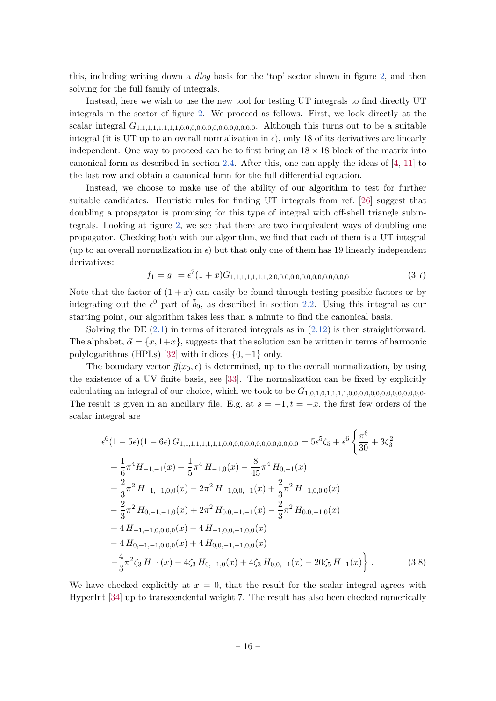this, including writing down a *dlog* basis for the 'top' sector shown in figure [2,](#page-15-1) and then solving for the full family of integrals.

Instead, here we wish to use the new tool for testing UT integrals to find directly UT integrals in the sector of figure [2.](#page-15-1) We proceed as follows. First, we look directly at the scalar integral *G*1*,*1*,*1*,*1*,*1*,*1*,*1*,*1*,*0*,*0*,*0*,*0*,*0*,*0*,*0*,*0*,*0*,*0*,*0*,*0*,*0*,*0. Although this turns out to be a suitable integral (it is UT up to an overall normalization in  $\epsilon$ ), only 18 of its derivatives are linearly independent. One way to proceed can be to first bring an  $18 \times 18$  block of the matrix into canonical form as described in section [2.4.](#page-11-0) After this, one can apply the ideas of [\[4,](#page-22-8) [11\]](#page-22-9) to the last row and obtain a canonical form for the full differential equation.

Instead, we choose to make use of the ability of our algorithm to test for further suitable candidates. Heuristic rules for finding UT integrals from ref. [\[26\]](#page-23-11) suggest that doubling a propagator is promising for this type of integral with off-shell triangle subintegrals. Looking at figure [2,](#page-15-1) we see that there are two inequivalent ways of doubling one propagator. Checking both with our algorithm, we find that each of them is a UT integral (up to an overall normalization in  $\epsilon$ ) but that only one of them has 19 linearly independent derivatives:

*f*<sup>1</sup> = *g*<sup>1</sup> = 7 (1 + *x*)*G*1*,*1*,*1*,*1*,*1*,*1*,*1*,*2*,*0*,*0*,*0*,*0*,*0*,*0*,*0*,*0*,*0*,*0*,*0*,*0*,*0*,*<sup>0</sup> (3.7)

Note that the factor of  $(1 + x)$  can easily be found through testing possible factors or by integrating out the  $\epsilon^0$  part of  $\tilde{b}_0$ , as described in section [2.2.](#page-6-0) Using this integral as our starting point, our algorithm takes less than a minute to find the canonical basis.

Solving the DE  $(2.1)$  in terms of iterated integrals as in  $(2.12)$  is then straightforward. The alphabet,  $\vec{\alpha} = \{x, 1+x\}$ , suggests that the solution can be written in terms of harmonic polylogarithms (HPLs) [\[32\]](#page-24-1) with indices {0*,* −1} only.

The boundary vector  $\vec{q}(x_0, \epsilon)$  is determined, up to the overall normalization, by using the existence of a UV finite basis, see [\[33\]](#page-24-2). The normalization can be fixed by explicitly calculating an integral of our choice, which we took to be *G*1*,*0*,*1*,*0*,*1*,*1*,*1*,*1*,*0*,*0*,*0*,*0*,*0*,*0*,*0*,*0*,*0*,*0*,*0*,*0*,*0*,*0. The result is given in an ancillary file. E.g. at  $s = -1, t = -x$ , the first few orders of the scalar integral are

 6 (1 − 5)(1 − 6) *G*1*,*1*,*1*,*1*,*1*,*1*,*1*,*1*,*0*,*0*,*0*,*0*,*0*,*0*,*0*,*0*,*0*,*0*,*0*,*0*,*0*,*<sup>0</sup> = 5 5 *ζ*<sup>5</sup> + 6 ( *π* 6 30 + 3*ζ* 2 3 + 1 6 *π* <sup>4</sup>*H*−1*,*−1(*x*) + <sup>1</sup> 5 *π* <sup>4</sup> *H*−1*,*0(*x*) − 8 45 *π* <sup>4</sup> *H*0*,*−1(*x*) + 2 3 *π* <sup>2</sup> *H*−1*,*−1*,*0*,*0(*x*) − 2*π* <sup>2</sup> *<sup>H</sup>*−1*,*0*,*0*,*−1(*x*) + <sup>2</sup> 3 *π* <sup>2</sup> *H*−1*,*0*,*0*,*0(*x*) − 2 3 *π* <sup>2</sup> *H*0*,*−1*,*−1*,*0(*x*) + 2*π* <sup>2</sup> *H*0*,*0*,*−1*,*−1(*x*) − 2 3 *π* <sup>2</sup> *H*0*,*0*,*−1*,*0(*x*) + 4 *H*−1*,*−1*,*0*,*0*,*0*,*0(*x*) − 4 *H*−1*,*0*,*0*,*−1*,*0*,*0(*x*) − 4 *H*0*,*−1*,*−1*,*0*,*0*,*0(*x*) + 4 *H*0*,*0*,*−1*,*−1*,*0*,*0(*x*) − 4 3 *π* 2 *ζ*<sup>3</sup> *H*−1(*x*) − 4*ζ*<sup>3</sup> *H*0*,*−1*,*0(*x*) + 4*ζ*<sup>3</sup> *H*0*,*0*,*−1(*x*) − 20*ζ*<sup>5</sup> *H*−1(*x*) *.* (3.8)

We have checked explicitly at  $x = 0$ , that the result for the scalar integral agrees with HyperInt [\[34\]](#page-24-3) up to transcendental weight 7. The result has also been checked numerically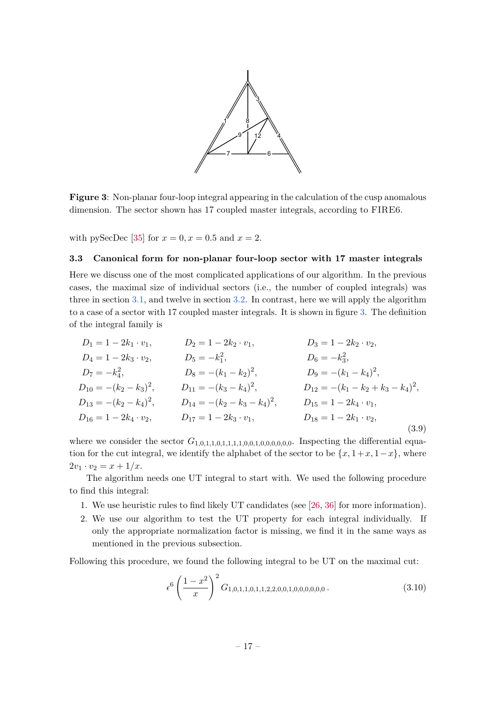<span id="page-17-1"></span>

**Figure 3**: Non-planar four-loop integral appearing in the calculation of the cusp anomalous dimension. The sector shown has 17 coupled master integrals, according to FIRE6.

with pySecDec [\[35\]](#page-24-4) for  $x = 0, x = 0.5$  and  $x = 2$ .

# <span id="page-17-0"></span>**3.3 Canonical form for non-planar four-loop sector with 17 master integrals**

Here we discuss one of the most complicated applications of our algorithm. In the previous cases, the maximal size of individual sectors (i.e., the number of coupled integrals) was three in section [3.1,](#page-14-0) and twelve in section [3.2.](#page-15-0) In contrast, here we will apply the algorithm to a case of a sector with 17 coupled master integrals. It is shown in figure [3.](#page-17-1) The definition of the integral family is

$$
D_1 = 1 - 2k_1 \cdot v_1, \t D_2 = 1 - 2k_2 \cdot v_1, \t D_3 = 1 - 2k_2 \cdot v_2, \nD_4 = 1 - 2k_3 \cdot v_2, \t D_5 = -k_1^2, \t D_6 = -k_3^2, \nD_7 = -k_4^2, \t D_8 = -(k_1 - k_2)^2, \t D_9 = -(k_1 - k_4)^2, \nD_{10} = -(k_2 - k_3)^2, \t D_{11} = -(k_3 - k_4)^2, \t D_{12} = -(k_1 - k_2 + k_3 - k_4)^2, \nD_{13} = -(k_2 - k_4)^2, \t D_{14} = -(k_2 - k_3 - k_4)^2, \t D_{15} = 1 - 2k_4 \cdot v_1, \nD_{16} = 1 - 2k_4 \cdot v_2, \t D_{17} = 1 - 2k_3 \cdot v_1, \t D_{18} = 1 - 2k_1 \cdot v_2,
$$
\n(3.9)

where we consider the sector  $G_{1,0,1,1,0,1,1,1,1,0,0,1,0,0,0,0,0}$ . Inspecting the differential equation for the cut integral, we identify the alphabet of the sector to be  $\{x, 1+x, 1-x\}$ , where  $2v_1 \cdot v_2 = x + 1/x$ .

The algorithm needs one UT integral to start with. We used the following procedure to find this integral:

- 1. We use heuristic rules to find likely UT candidates (see [\[26,](#page-23-11) [36\]](#page-24-5) for more information).
- 2. We use our algorithm to test the UT property for each integral individually. If only the appropriate normalization factor is missing, we find it in the same ways as mentioned in the previous subsection.

Following this procedure, we found the following integral to be UT on the maximal cut:

<span id="page-17-2"></span>
$$
\epsilon^6 \left(\frac{1-x^2}{x}\right)^2 G_{1,0,1,1,0,1,1,2,2,0,0,1,0,0,0,0,0,0} \tag{3.10}
$$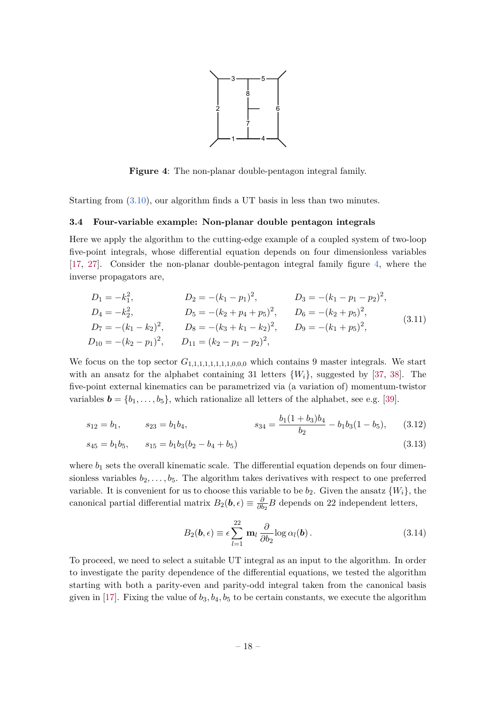

<span id="page-18-1"></span>**Figure 4**: The non-planar double-pentagon integral family.

Starting from [\(3.10\)](#page-17-2), our algorithm finds a UT basis in less than two minutes.

# <span id="page-18-0"></span>**3.4 Four-variable example: Non-planar double pentagon integrals**

Here we apply the algorithm to the cutting-edge example of a coupled system of two-loop five-point integrals, whose differential equation depends on four dimensionless variables [\[17,](#page-23-4) [27\]](#page-23-12). Consider the non-planar double-pentagon integral family figure [4,](#page-18-1) where the inverse propagators are,

$$
D_1 = -k_1^2,
$$
  
\n
$$
D_2 = -(k_1 - p_1)^2,
$$
  
\n
$$
D_3 = -(k_1 - p_1 - p_2)^2,
$$
  
\n
$$
D_4 = -k_2^2,
$$
  
\n
$$
D_5 = -(k_2 + p_4 + p_5)^2,
$$
  
\n
$$
D_6 = -(k_2 + p_5)^2,
$$
  
\n
$$
D_7 = -(k_1 - k_2)^2,
$$
  
\n
$$
D_8 = -(k_3 + k_1 - k_2)^2,
$$
  
\n
$$
D_9 = -(k_1 + p_5)^2,
$$
  
\n
$$
D_{10} = -(k_2 - p_1)^2,
$$
  
\n
$$
D_{11} = (k_2 - p_1 - p_2)^2,
$$
  
\n(3.11)

We focus on the top sector  $G_{1,1,1,1,1,1,1,0,0,0}$  which contains 9 master integrals. We start with an ansatz for the alphabet containing 31 letters  $\{W_i\}$ , suggested by [\[37,](#page-24-6) [38\]](#page-24-7). The five-point external kinematics can be parametrized via (a variation of) momentum-twistor variables  $\mathbf{b} = \{b_1, \ldots, b_5\}$ , which rationalize all letters of the alphabet, see e.g. [\[39\]](#page-24-8).

$$
s_{12} = b_1,
$$
  $s_{23} = b_1b_4,$   $s_{34} = \frac{b_1(1+b_3)b_4}{b_2} - b_1b_3(1-b_5),$  (3.12)

$$
s_{45} = b_1 b_5, \qquad s_{15} = b_1 b_3 (b_2 - b_4 + b_5) \tag{3.13}
$$

where  $b_1$  sets the overall kinematic scale. The differential equation depends on four dimensionless variables  $b_2, \ldots, b_5$ . The algorithm takes derivatives with respect to one preferred variable. It is convenient for us to choose this variable to be  $b_2$ . Given the ansatz  $\{W_i\}$ , the  $\alpha$  canonical partial differential matrix  $B_2(\mathbf{b}, \epsilon) \equiv \frac{\delta}{\delta \mathbf{b}}$  $\frac{\partial}{\partial b_2}B$  depends on 22 independent letters,

$$
B_2(\boldsymbol{b}, \epsilon) \equiv \epsilon \sum_{l=1}^{22} \mathbf{m}_l \frac{\partial}{\partial b_2} \log \alpha_l(\boldsymbol{b}). \tag{3.14}
$$

To proceed, we need to select a suitable UT integral as an input to the algorithm. In order to investigate the parity dependence of the differential equations, we tested the algorithm starting with both a parity-even and parity-odd integral taken from the canonical basis given in [\[17\]](#page-23-4). Fixing the value of  $b_3$ ,  $b_4$ ,  $b_5$  to be certain constants, we execute the algorithm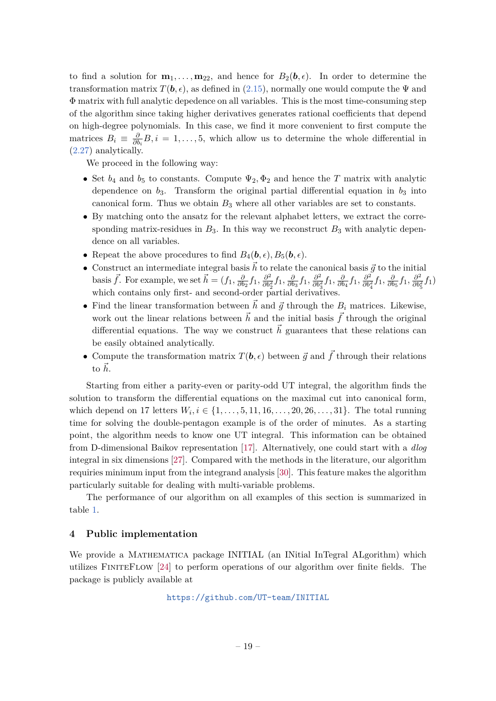to find a solution for  $\mathbf{m}_1, \ldots, \mathbf{m}_{22}$ , and hence for  $B_2(\mathbf{b}, \epsilon)$ . In order to determine the transformation matrix  $T(\mathbf{b}, \epsilon)$ , as defined in [\(2.15\)](#page-6-8), normally one would compute the  $\Psi$  and Φ matrix with full analytic depedence on all variables. This is the most time-consuming step of the algorithm since taking higher derivatives generates rational coefficients that depend on high-degree polynomials. In this case, we find it more convenient to first compute the matrices  $B_i \equiv \frac{\delta}{\partial l}$  $\frac{\partial}{\partial b_i}B$ , *i* = 1, ..., 5, which allow us to determine the whole differential in [\(2.27\)](#page-9-2) analytically.

We proceed in the following way:

- Set  $b_4$  and  $b_5$  to constants. Compute  $\Psi_2, \Phi_2$  and hence the *T* matrix with analytic dependence on  $b_3$ . Transform the original partial differential equation in  $b_3$  into canonical form. Thus we obtain  $B_3$  where all other variables are set to constants.
- By matching onto the ansatz for the relevant alphabet letters, we extract the corresponding matrix-residues in  $B_3$ . In this way we reconstruct  $B_3$  with analytic dependence on all variables.
- Repeat the above procedures to find  $B_4(\boldsymbol{b}, \epsilon)$ ,  $B_5(\boldsymbol{b}, \epsilon)$ .
- Construct an intermediate integral basis  $\vec{h}$  to relate the canonical basis  $\vec{g}$  to the initial basis  $\vec{f}$ . For example, we set  $\vec{h} = (f_1, \frac{\partial}{\partial h})$  $\frac{\partial}{\partial b_2} f_1, \frac{\partial^2}{\partial b_2^2}$  $\frac{\partial^2}{\partial b_2^2} f_1, \frac{\partial}{\partial b}$  $\frac{\partial}{\partial b_3} f_1, \frac{\partial^2}{\partial b_2^2}$  $\frac{\partial^2}{\partial b_3^2} f_1$ *,*  $\frac{\partial}{\partial b}$  $\frac{\partial}{\partial b_4} f_1, \frac{\partial^2}{\partial b_2^2}$  $\frac{\partial^2}{\partial b_4^2} f_1$ *,*  $\frac{\partial}{\partial b_4^2}$  $\frac{\partial}{\partial b_5} f_1, \frac{\partial^2}{\partial b_1^2}$  $\frac{\partial^2}{\partial b_5^2} f_1$ which contains only first- and second-order partial derivatives.
- Find the linear transformation between  $\vec{h}$  and  $\vec{q}$  through the  $B_i$  matrices. Likewise, work out the linear relations between  $\vec{h}$  and the initial basis  $\vec{f}$  through the original differential equations. The way we construct  $\vec{h}$  guarantees that these relations can be easily obtained analytically.
- Compute the transformation matrix  $T(\mathbf{b}, \epsilon)$  between  $\vec{g}$  and  $\vec{f}$  through their relations to  $\vec{h}$ .

Starting from either a parity-even or parity-odd UT integral, the algorithm finds the solution to transform the differential equations on the maximal cut into canonical form, which depend on 17 letters  $W_i, i \in \{1, ..., 5, 11, 16, ..., 20, 26, ..., 31\}$ . The total running time for solving the double-pentagon example is of the order of minutes. As a starting point, the algorithm needs to know one UT integral. This information can be obtained from D-dimensional Baikov representation [\[17\]](#page-23-4). Alternatively, one could start with a *dlog* integral in six dimensions [\[27\]](#page-23-12). Compared with the methods in the literature, our algorithm requiries minimum input from the integrand analysis [\[30\]](#page-23-15). This feature makes the algorithm particularly suitable for dealing with multi-variable problems.

The performance of our algorithm on all examples of this section is summarized in table [1.](#page-20-1)

# <span id="page-19-0"></span>**4 Public implementation**

We provide a MATHEMATICA package INITIAL (an INitial InTegral ALgorithm) which utilizes FiniteFlow [\[24\]](#page-23-9) to perform operations of our algorithm over finite fields. The package is publicly available at

<https://github.com/UT-team/INITIAL>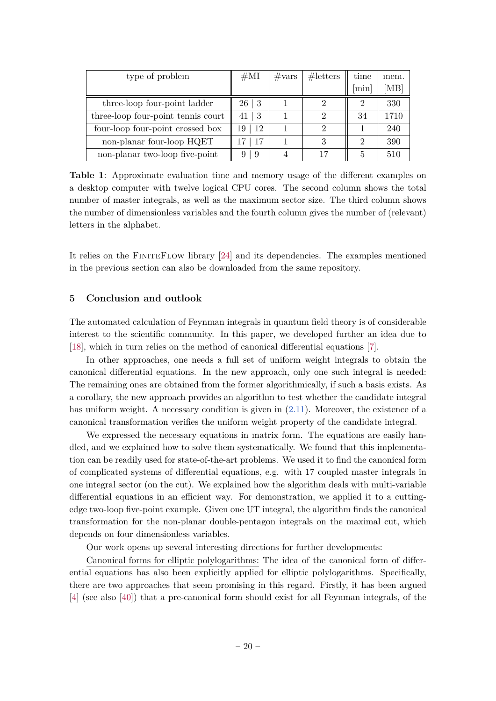<span id="page-20-1"></span>

| type of problem                    | #MI                    | $\#\text{vars}$ | #letters | time                        | mem. |
|------------------------------------|------------------------|-----------------|----------|-----------------------------|------|
|                                    |                        |                 |          | min                         | `MB] |
| three-loop four-point ladder       | 26 <sup>2</sup><br>- 3 |                 |          |                             | 330  |
| three-loop four-point tennis court | -3<br>41               |                 |          | 34                          | 1710 |
| four-loop four-point crossed box   | -12<br>19              |                 | 2        |                             | 240  |
| non-planar four-loop HQET          | <b>17</b>              |                 | 3        | $\mathcal{D}_{\mathcal{L}}$ | 390  |
| non-planar two-loop five-point     | -9<br>9                |                 | 17       | 5                           | 510  |

**Table 1**: Approximate evaluation time and memory usage of the different examples on a desktop computer with twelve logical CPU cores. The second column shows the total number of master integrals, as well as the maximum sector size. The third column shows the number of dimensionless variables and the fourth column gives the number of (relevant) letters in the alphabet.

It relies on the FiniteFlow library [\[24\]](#page-23-9) and its dependencies. The examples mentioned in the previous section can also be downloaded from the same repository.

# <span id="page-20-0"></span>**5 Conclusion and outlook**

The automated calculation of Feynman integrals in quantum field theory is of considerable interest to the scientific community. In this paper, we developed further an idea due to [\[18\]](#page-23-5), which in turn relies on the method of canonical differential equations [\[7\]](#page-22-4).

In other approaches, one needs a full set of uniform weight integrals to obtain the canonical differential equations. In the new approach, only one such integral is needed: The remaining ones are obtained from the former algorithmically, if such a basis exists. As a corollary, the new approach provides an algorithm to test whether the candidate integral has uniform weight. A necessary condition is given in  $(2.11)$ . Moreover, the existence of a canonical transformation verifies the uniform weight property of the candidate integral.

We expressed the necessary equations in matrix form. The equations are easily handled, and we explained how to solve them systematically. We found that this implementation can be readily used for state-of-the-art problems. We used it to find the canonical form of complicated systems of differential equations, e.g. with 17 coupled master integrals in one integral sector (on the cut). We explained how the algorithm deals with multi-variable differential equations in an efficient way. For demonstration, we applied it to a cuttingedge two-loop five-point example. Given one UT integral, the algorithm finds the canonical transformation for the non-planar double-pentagon integrals on the maximal cut, which depends on four dimensionless variables.

Our work opens up several interesting directions for further developments:

Canonical forms for elliptic polylogarithms: The idea of the canonical form of differential equations has also been explicitly applied for elliptic polylogarithms. Specifically, there are two approaches that seem promising in this regard. Firstly, it has been argued [\[4\]](#page-22-8) (see also [\[40\]](#page-24-9)) that a pre-canonical form should exist for all Feynman integrals, of the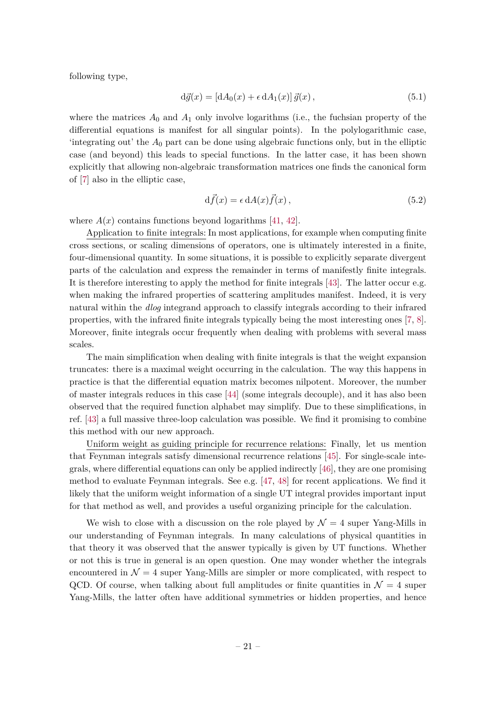following type,

$$
d\vec{g}(x) = [dA_0(x) + \epsilon dA_1(x)]\,\vec{g}(x),\tag{5.1}
$$

where the matrices  $A_0$  and  $A_1$  only involve logarithms (i.e., the fuchsian property of the differential equations is manifest for all singular points). In the polylogarithmic case, 'integrating out' the  $A_0$  part can be done using algebraic functions only, but in the elliptic case (and beyond) this leads to special functions. In the latter case, it has been shown explicitly that allowing non-algebraic transformation matrices one finds the canonical form of [\[7\]](#page-22-4) also in the elliptic case,

$$
d\vec{f}(x) = \epsilon \, dA(x) \vec{f}(x) \,, \tag{5.2}
$$

where  $A(x)$  contains functions beyond logarithms [\[41,](#page-24-10) [42\]](#page-24-11).

Application to finite integrals: In most applications, for example when computing finite cross sections, or scaling dimensions of operators, one is ultimately interested in a finite, four-dimensional quantity. In some situations, it is possible to explicitly separate divergent parts of the calculation and express the remainder in terms of manifestly finite integrals. It is therefore interesting to apply the method for finite integrals [\[43\]](#page-24-12). The latter occur e.g. when making the infrared properties of scattering amplitudes manifest. Indeed, it is very natural within the *dlog* integrand approach to classify integrals according to their infrared properties, with the infrared finite integrals typically being the most interesting ones [\[7,](#page-22-4) [8\]](#page-22-5). Moreover, finite integrals occur frequently when dealing with problems with several mass scales.

The main simplification when dealing with finite integrals is that the weight expansion truncates: there is a maximal weight occurring in the calculation. The way this happens in practice is that the differential equation matrix becomes nilpotent. Moreover, the number of master integrals reduces in this case [\[44\]](#page-24-13) (some integrals decouple), and it has also been observed that the required function alphabet may simplify. Due to these simplifications, in ref. [\[43\]](#page-24-12) a full massive three-loop calculation was possible. We find it promising to combine this method with our new approach.

Uniform weight as guiding principle for recurrence relations: Finally, let us mention that Feynman integrals satisfy dimensional recurrence relations [\[45\]](#page-24-14). For single-scale integrals, where differential equations can only be applied indirectly [\[46\]](#page-24-15), they are one promising method to evaluate Feynman integrals. See e.g. [\[47,](#page-24-16) [48\]](#page-24-17) for recent applications. We find it likely that the uniform weight information of a single UT integral provides important input for that method as well, and provides a useful organizing principle for the calculation.

We wish to close with a discussion on the role played by  $\mathcal{N}=4$  super Yang-Mills in our understanding of Feynman integrals. In many calculations of physical quantities in that theory it was observed that the answer typically is given by UT functions. Whether or not this is true in general is an open question. One may wonder whether the integrals encountered in  $\mathcal{N} = 4$  super Yang-Mills are simpler or more complicated, with respect to QCD. Of course, when talking about full amplitudes or finite quantities in  $\mathcal{N}=4$  super Yang-Mills, the latter often have additional symmetries or hidden properties, and hence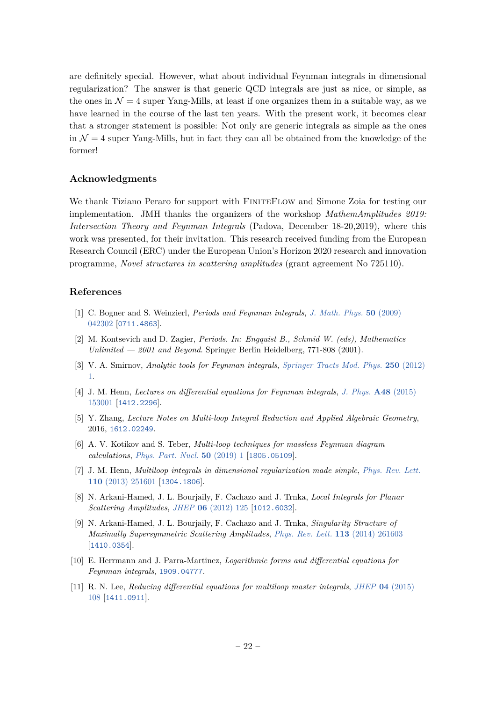are definitely special. However, what about individual Feynman integrals in dimensional regularization? The answer is that generic QCD integrals are just as nice, or simple, as the ones in  $\mathcal{N} = 4$  super Yang-Mills, at least if one organizes them in a suitable way, as we have learned in the course of the last ten years. With the present work, it becomes clear that a stronger statement is possible: Not only are generic integrals as simple as the ones in  $\mathcal{N} = 4$  super Yang-Mills, but in fact they can all be obtained from the knowledge of the former!

# **Acknowledgments**

We thank Tiziano Peraro for support with FINITEFLOW and Simone Zoia for testing our implementation. JMH thanks the organizers of the workshop *MathemAmplitudes 2019: Intersection Theory and Feynman Integrals* (Padova, December 18-20,2019), where this work was presented, for their invitation. This research received funding from the European Research Council (ERC) under the European Union's Horizon 2020 research and innovation programme, *Novel structures in scattering amplitudes* (grant agreement No 725110).

# **References**

- <span id="page-22-0"></span>[1] C. Bogner and S. Weinzierl, *Periods and Feynman integrals*, *[J. Math. Phys.](https://doi.org/10.1063/1.3106041)* **50** (2009) [042302](https://doi.org/10.1063/1.3106041) [[0711.4863](https://arxiv.org/abs/0711.4863)].
- <span id="page-22-1"></span>[2] M. Kontsevich and D. Zagier, *Periods. In: Engquist B., Schmid W. (eds), Mathematics Unlimited — 2001 and Beyond*. Springer Berlin Heidelberg, 771-808 (2001).
- <span id="page-22-2"></span>[3] V. A. Smirnov, *Analytic tools for Feynman integrals*, *[Springer Tracts Mod. Phys.](https://doi.org/10.1007/978-3-642-34886-0)* **250** (2012) [1.](https://doi.org/10.1007/978-3-642-34886-0)
- <span id="page-22-8"></span>[4] J. M. Henn, *Lectures on differential equations for Feynman integrals*, *[J. Phys.](https://doi.org/10.1088/1751-8113/48/15/153001)* **A48** (2015) [153001](https://doi.org/10.1088/1751-8113/48/15/153001) [[1412.2296](https://arxiv.org/abs/1412.2296)].
- [5] Y. Zhang, *Lecture Notes on Multi-loop Integral Reduction and Applied Algebraic Geometry*, 2016, [1612.02249](https://arxiv.org/abs/1612.02249).
- <span id="page-22-3"></span>[6] A. V. Kotikov and S. Teber, *Multi-loop techniques for massless Feynman diagram calculations*, *[Phys. Part. Nucl.](https://doi.org/10.1134/S1063779619010039)* **50** (2019) 1 [[1805.05109](https://arxiv.org/abs/1805.05109)].
- <span id="page-22-4"></span>[7] J. M. Henn, *Multiloop integrals in dimensional regularization made simple*, *[Phys. Rev. Lett.](https://doi.org/10.1103/PhysRevLett.110.251601)* **110** [\(2013\) 251601](https://doi.org/10.1103/PhysRevLett.110.251601) [[1304.1806](https://arxiv.org/abs/1304.1806)].
- <span id="page-22-5"></span>[8] N. Arkani-Hamed, J. L. Bourjaily, F. Cachazo and J. Trnka, *Local Integrals for Planar Scattering Amplitudes*, *JHEP* **06** [\(2012\) 125](https://doi.org/10.1007/JHEP06(2012)125) [[1012.6032](https://arxiv.org/abs/1012.6032)].
- <span id="page-22-6"></span>[9] N. Arkani-Hamed, J. L. Bourjaily, F. Cachazo and J. Trnka, *Singularity Structure of Maximally Supersymmetric Scattering Amplitudes*, *[Phys. Rev. Lett.](https://doi.org/10.1103/PhysRevLett.113.261603)* **113** (2014) 261603 [[1410.0354](https://arxiv.org/abs/1410.0354)].
- <span id="page-22-7"></span>[10] E. Herrmann and J. Parra-Martinez, *Logarithmic forms and differential equations for Feynman integrals*, [1909.04777](https://arxiv.org/abs/1909.04777).
- <span id="page-22-9"></span>[11] R. N. Lee, *Reducing differential equations for multiloop master integrals*, *JHEP* **04** [\(2015\)](https://doi.org/10.1007/JHEP04(2015)108) [108](https://doi.org/10.1007/JHEP04(2015)108) [[1411.0911](https://arxiv.org/abs/1411.0911)].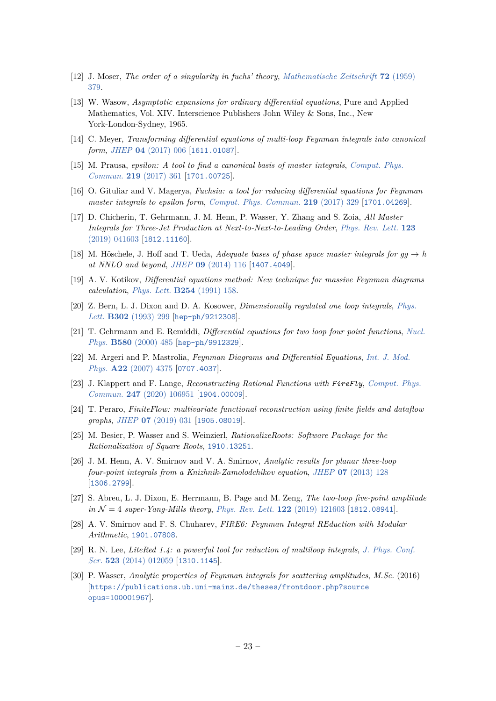- <span id="page-23-0"></span>[12] J. Moser, *The order of a singularity in fuchs' theory*, *[Mathematische Zeitschrift](https://doi.org/10.1007/BF01162962)* **72** (1959) [379.](https://doi.org/10.1007/BF01162962)
- <span id="page-23-1"></span>[13] W. Wasow, *Asymptotic expansions for ordinary differential equations*, Pure and Applied Mathematics, Vol. XIV. Interscience Publishers John Wiley & Sons, Inc., New York-London-Sydney, 1965.
- <span id="page-23-2"></span>[14] C. Meyer, *Transforming differential equations of multi-loop Feynman integrals into canonical form*, *JHEP* **04** [\(2017\) 006](https://doi.org/10.1007/JHEP04(2017)006) [[1611.01087](https://arxiv.org/abs/1611.01087)].
- [15] M. Prausa, *epsilon: A tool to find a canonical basis of master integrals*, *[Comput. Phys.](https://doi.org/10.1016/j.cpc.2017.05.026) Commun.* **219** [\(2017\) 361](https://doi.org/10.1016/j.cpc.2017.05.026) [[1701.00725](https://arxiv.org/abs/1701.00725)].
- <span id="page-23-3"></span>[16] O. Gituliar and V. Magerya, *Fuchsia: a tool for reducing differential equations for Feynman master integrals to epsilon form*, *[Comput. Phys. Commun.](https://doi.org/10.1016/j.cpc.2017.05.004)* **219** (2017) 329 [[1701.04269](https://arxiv.org/abs/1701.04269)].
- <span id="page-23-4"></span>[17] D. Chicherin, T. Gehrmann, J. M. Henn, P. Wasser, Y. Zhang and S. Zoia, *All Master Integrals for Three-Jet Production at Next-to-Next-to-Leading Order*, *[Phys. Rev. Lett.](https://doi.org/10.1103/PhysRevLett.123.041603)* **123** [\(2019\) 041603](https://doi.org/10.1103/PhysRevLett.123.041603) [[1812.11160](https://arxiv.org/abs/1812.11160)].
- <span id="page-23-5"></span>[18] M. Höschele, J. Hoff and T. Ueda, *Adequate bases of phase space master integrals for*  $gg \to h$ *at NNLO and beyond*, *JHEP* **09** [\(2014\) 116](https://doi.org/10.1007/JHEP09(2014)116) [[1407.4049](https://arxiv.org/abs/1407.4049)].
- <span id="page-23-6"></span>[19] A. V. Kotikov, *Differential equations method: New technique for massive Feynman diagrams calculation*, *[Phys. Lett.](https://doi.org/10.1016/0370-2693(91)90413-K)* **B254** (1991) 158.
- [20] Z. Bern, L. J. Dixon and D. A. Kosower, *Dimensionally regulated one loop integrals*, *[Phys.](https://doi.org/10.1016/0370-2693(93)90469-X, 10.1016/0370-2693(93)90400-C) Lett.* **B302** [\(1993\) 299](https://doi.org/10.1016/0370-2693(93)90469-X, 10.1016/0370-2693(93)90400-C) [[hep-ph/9212308](https://arxiv.org/abs/hep-ph/9212308)].
- [21] T. Gehrmann and E. Remiddi, *Differential equations for two loop four point functions*, *[Nucl.](https://doi.org/10.1016/S0550-3213(00)00223-6) Phys.* **B580** [\(2000\) 485](https://doi.org/10.1016/S0550-3213(00)00223-6) [[hep-ph/9912329](https://arxiv.org/abs/hep-ph/9912329)].
- <span id="page-23-7"></span>[22] M. Argeri and P. Mastrolia, *Feynman Diagrams and Differential Equations*, *[Int. J. Mod.](https://doi.org/10.1142/S0217751X07037147) Phys.* **A22** [\(2007\) 4375](https://doi.org/10.1142/S0217751X07037147) [[0707.4037](https://arxiv.org/abs/0707.4037)].
- <span id="page-23-8"></span>[23] J. Klappert and F. Lange, *Reconstructing Rational Functions with FireFly*, *[Comput. Phys.](https://doi.org/10.1016/j.cpc.2019.106951) Commun.* **247** [\(2020\) 106951](https://doi.org/10.1016/j.cpc.2019.106951) [[1904.00009](https://arxiv.org/abs/1904.00009)].
- <span id="page-23-9"></span>[24] T. Peraro, *FiniteFlow: multivariate functional reconstruction using finite fields and dataflow graphs*, *JHEP* **07** [\(2019\) 031](https://doi.org/10.1007/JHEP07(2019)031) [[1905.08019](https://arxiv.org/abs/1905.08019)].
- <span id="page-23-10"></span>[25] M. Besier, P. Wasser and S. Weinzierl, *RationalizeRoots: Software Package for the Rationalization of Square Roots*, [1910.13251](https://arxiv.org/abs/1910.13251).
- <span id="page-23-11"></span>[26] J. M. Henn, A. V. Smirnov and V. A. Smirnov, *Analytic results for planar three-loop four-point integrals from a Knizhnik-Zamolodchikov equation*, *JHEP* **07** [\(2013\) 128](https://doi.org/10.1007/JHEP07(2013)128) [[1306.2799](https://arxiv.org/abs/1306.2799)].
- <span id="page-23-12"></span>[27] S. Abreu, L. J. Dixon, E. Herrmann, B. Page and M. Zeng, *The two-loop five-point amplitude in* N = 4 *super-Yang-Mills theory*, *[Phys. Rev. Lett.](https://doi.org/10.1103/PhysRevLett.122.121603)* **122** (2019) 121603 [[1812.08941](https://arxiv.org/abs/1812.08941)].
- <span id="page-23-13"></span>[28] A. V. Smirnov and F. S. Chuharev, *FIRE6: Feynman Integral REduction with Modular Arithmetic*, [1901.07808](https://arxiv.org/abs/1901.07808).
- <span id="page-23-14"></span>[29] R. N. Lee, *LiteRed 1.4: a powerful tool for reduction of multiloop integrals*, *[J. Phys. Conf.](https://doi.org/10.1088/1742-6596/523/1/012059) Ser.* **523** [\(2014\) 012059](https://doi.org/10.1088/1742-6596/523/1/012059) [[1310.1145](https://arxiv.org/abs/1310.1145)].
- <span id="page-23-15"></span>[30] P. Wasser, *Analytic properties of Feynman integrals for scattering amplitudes*, *M.Sc.* (2016) [[https://publications.ub.uni-mainz.de/theses/frontdoor.php?source](https://arxiv.org/abs/https://publications.ub.uni-mainz.de/theses/frontdoor.php?source opus=100001967) [opus=100001967](https://arxiv.org/abs/https://publications.ub.uni-mainz.de/theses/frontdoor.php?source opus=100001967)].